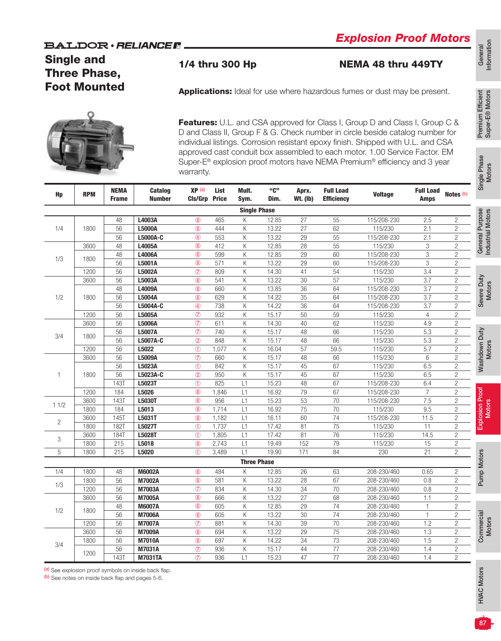# Single and Three Phase, Foot Mounted

1/4 thru 300 Hp NEMA 48 thru 449TY

General<br>Information Information Premium Efficient<br>Super-E® Motors Premium Efficient Super-E® Motors



Features: U.L. and CSA approved for Class I, Group D and Class I, Group C & D and Class II, Group F & G. Check number in circle beside catalog number for individual listings. Corrosion resistant epoxy finish. Shipped with U.L. and CSA approved cast conduit box assembled to each motor. 1.00 Service Factor. EM Super-E® explosion proof motors have NEMA Premium® efficiency and 3 year warranty.

Applications: Ideal for use where hazardous fumes or dust may be present.

| Hp   | <b>RPM</b> | <b>NEMA</b><br><b>Frame</b> | Catalog<br><b>Number</b> | XP (a)<br>CIs/Grp     | List<br><b>Price</b> | Mult.<br>Sym.       | "C"<br>Dim. | Aprx.<br>$Wt.$ (lb) | <b>Full Load</b><br><b>Efficiency</b> | <b>Voltage</b> | <b>Full Load</b><br><b>Amps</b> | Notes <sup>(b)</sup> |
|------|------------|-----------------------------|--------------------------|-----------------------|----------------------|---------------------|-------------|---------------------|---------------------------------------|----------------|---------------------------------|----------------------|
|      |            |                             |                          |                       |                      | <b>Single Phase</b> |             |                     |                                       |                |                                 |                      |
|      |            | 48                          | L4003A                   | $^{\circledR}$        | 465                  | Κ                   | 12.85       | 27                  | 55                                    | 115/208-230    | 2.5                             | $\overline{c}$       |
| 1/4  | 1800       | 56                          | <b>L5000A</b>            | (8)                   | 444                  | K                   | 13.22       | 27                  | 62                                    | 115/230        | 2.1                             | $\overline{2}$       |
|      |            | 56                          | L5000A-C                 | $\circledA$           | 553                  | K                   | 13.22       | 29                  | 55                                    | 115/208-230    | 2.1                             | $\mathbf{2}$         |
|      | 3600       | 48                          | L4005A                   | (8)                   | 412                  | Κ                   | 12.85       | 28                  | 55                                    | 115/230        | 3                               | $\overline{c}$       |
| 1/3  | 1800       | 48                          | L4006A                   | (8)                   | 599                  | Κ                   | 12.85       | $\overline{29}$     | 60                                    | 115/208-230    | $\overline{3}$                  | $\overline{c}$       |
|      |            | 56                          | L5001A                   | (8)                   | 571                  | Κ                   | 13.22       | 29                  | 60                                    | 115/208-230    | 3                               | $\overline{c}$       |
|      | 1200       | 56                          | L5002A                   | $\circledcirc$        | 809                  | Κ                   | 14.30       | 41                  | 54                                    | 115/230        | 3.4                             | $\overline{c}$       |
|      | 3600       | 56                          | L5003A                   | (8)                   | 541                  | K                   | 13.22       | $\overline{30}$     | 57                                    | 115/230        | $\overline{3.7}$                | $\overline{c}$       |
|      |            | 48                          | L4009A                   | (8)                   | 660                  | Κ                   | 13.85       | 36                  | 64                                    | 115/208-230    | 3.7                             | $\overline{c}$       |
| 1/2  | 1800       | 56                          | L5004A                   | $^{\circledR}$        | 629                  | Κ                   | 14.22       | 35                  | 64                                    | 115/208-230    | $\overline{3.7}$                | $\mathbf{2}$         |
|      |            | 56                          | L5004A-C                 | $^{\circledR}$        | 738                  | Κ                   | 14.22       | 36                  | 64                                    | 115/208-230    | 3.7                             | $\overline{c}$       |
|      | 1200       | 56                          | L5005A                   | $\circledcirc$        | 932                  | Κ                   | 15.17       | 50                  | 59                                    | 115/230        | $\overline{4}$                  | $\overline{c}$       |
|      | 3600       | 56                          | L5006A                   | $\overline{\circ}$    | 611                  | Κ                   | 14.30       | 40                  | 62                                    | 115/230        | 4.9                             | $\overline{c}$       |
| 3/4  | 1800       | 56                          | L5007A                   | $\circledcirc$        | 740                  | Κ                   | 15.17       | 48                  | 66                                    | 115/230        | 5.3                             | $\overline{c}$       |
|      |            | 56                          | L5007A-C                 | $^{\circledR}$        | 848                  | Κ                   | 15.17       | 48                  | 66                                    | 115/230        | 5.3                             | $\overline{c}$       |
|      | 1200       | 56                          | L5022                    | $^{\circ}$            | 1,077                | Κ                   | 16.04       | 57                  | 59.5                                  | 115/230        | 5.7                             | $\overline{2}$       |
|      | 3600       | 56                          | L5009A                   | $\overline{\circ}$    | 660                  | Κ                   | 15.17       | 48                  | 66                                    | 115/230        | 6                               | $\overline{2}$       |
|      |            | 56                          | L5023A                   | $^{\circ}$            | 842                  | Κ                   | 15.17       | 45                  | 67                                    | 115/230        | 6.5                             | $\overline{c}$       |
|      | 1800       | 56                          | L5023A-C                 | $^{\circledR}$        | 950                  | Κ                   | 15.17       | 45                  | 67                                    | 115/230        | 6.5                             | $\overline{c}$       |
|      |            | 143T                        | L5023T                   | $\circledD$           | 825                  | L1                  | 15.23       | 48                  | 67                                    | 115/208-230    | 6.4                             | $\overline{2}$       |
|      | 1200       | 184                         | L5026                    | (8)                   | 1,846                | L1                  | 16.92       | 79                  | 67                                    | 115/208-230    | $\overline{7}$                  | $\mathbf{2}$         |
|      | 3600       | 143T                        | L5030T                   | (8)                   | 956                  | L1                  | 15.23       | 53                  | $\overline{70}$                       | 115/208-230    | 7.5                             | $\overline{c}$       |
| 11/2 | 1800       | 184                         | L5013                    | $^{\circledR}$        | 1,714                | L1                  | 16.92       | 75                  | $\overline{70}$                       | 115/230        | 9.5                             | $\overline{c}$       |
|      | 3600       | 145T                        | L5031T                   | (8)                   | 1,182                | L1                  | 16.11       | 60                  | $\overline{74}$                       | 115/208-230    | 11.5                            | $\overline{c}$       |
|      | 1800       | <b>182T</b>                 | L5027T                   | $^{\circ}$            | 1,737                | L1                  | 17.42       | 81                  | 75                                    | 115/230        | 11                              | $\overline{c}$       |
|      | 3600       | <b>184T</b>                 | L5028T                   | $\overline{\bigcirc}$ | 1,805                | L1                  | 17.42       | 81                  | 76                                    | 115/230        | 14.5                            | $\mathbf{2}$         |
|      | 1800       | 215                         | L5018                    | $^{\circledR}$        | 2,743                | L1                  | 19.49       | 152                 | 79                                    | 115/230        | 15                              | $\overline{c}$       |
| 5    | 1800       | 215                         | L5020                    | $\circledD$           | 3,489                | L1                  | 19.90       | 171                 | 84                                    | 230            | 21                              | $\overline{c}$       |
|      |            |                             |                          |                       |                      | <b>Three Phase</b>  |             |                     |                                       |                |                                 |                      |
| 1/4  | 1800       | 48                          | <b>M6002A</b>            | (8)                   | 484                  | К                   | 12.85       | 26                  | 63                                    | 208-230/460    | 0.65                            | $\overline{c}$       |
|      | 1800       | 56                          | M7002A                   | $^{\circledR}$        | 581                  | Κ                   | 13.22       | 28                  | 67                                    | 208-230/460    | 0.8                             | $\overline{c}$       |
| 1/3  | 1200       | 56                          | M7003A                   | $\circledcirc$        | 834                  | Κ                   | 14.30       | 34                  | $\overline{70}$                       | 208-230/460    | 0.8                             | $\overline{c}$       |
|      | 3600       | 56                          | <b>M7005A</b>            | $^{\circledR}$        | 666                  | Κ                   | 13.22       | 27                  | 68                                    | 208-230/460    | 1.1                             | $\mathbf{2}$         |
|      |            | 48                          | <b>M6007A</b>            | $^{\circledR}$        | 605                  | Κ                   | 12.85       | $\overline{29}$     | $\overline{74}$                       | 208-230/460    | $\mathbf{1}$                    | $\overline{2}$       |
| 1/2  | 1800       | 56                          | <b>M7006A</b>            | (8)                   | 605                  | K                   | 13.22       | 30                  | 74                                    | 208-230/460    | $\mathbf{1}$                    | $\overline{c}$       |
|      | 1200       | 56                          | <b>M7007A</b>            | $\circledD$           | 881                  | K                   | 14.30       | 39                  | $\overline{70}$                       | 208-230/460    | 1.2                             | $\overline{2}$       |
|      | 3600       | 56                          | <b>M7009A</b>            | (8)                   | 694                  | Κ                   | 13.22       | 29                  | 75                                    | 208-230/460    | 1.3                             | $\overline{2}$       |
|      | 1800       | 56                          | <b>M7010A</b>            | (8)                   | 697                  | Κ                   | 14.22       | 34                  | 73                                    | 208-230/460    | 1.5                             | $\overline{c}$       |
|      |            | 56                          | M7031A                   | $\overline{\circ}$    | 936                  | K                   | 15.17       | 44                  | $\overline{77}$                       | 208-230/460    | 1.4                             | $\overline{c}$       |
| 3/4  | 1200       |                             |                          |                       |                      |                     |             |                     |                                       |                |                                 |                      |

(a) See explosion proof symbols on inside back flap.

(b) See notes on inside back flap and pages 5-6.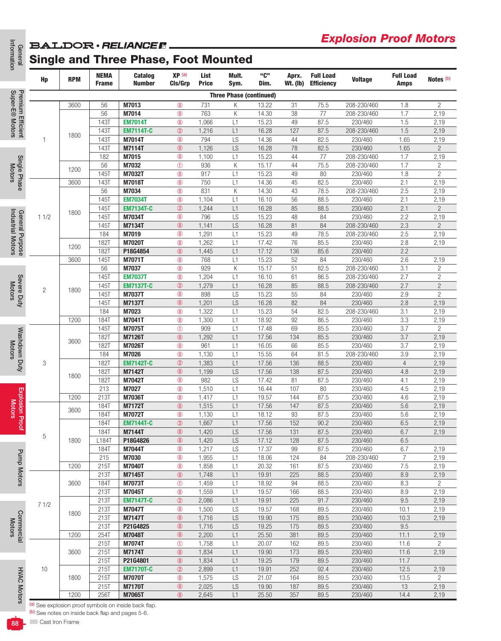# **BALDOR** · RELIANCE R.

# **General**<br>Information Single and Three Phase, Foot Mounted

| nformation                           |                |            | <b>NEMA</b>         | Catalog                   | XP (a)                           | List           | Mult.                          | "C"            | Aprx.           | <b>Full Load</b>  |                    | <b>Full Load</b> |                        |
|--------------------------------------|----------------|------------|---------------------|---------------------------|----------------------------------|----------------|--------------------------------|----------------|-----------------|-------------------|--------------------|------------------|------------------------|
|                                      | Hp             | <b>RPM</b> | <b>Frame</b>        | <b>Number</b>             | CIs/Grp                          | <b>Price</b>   | Sym.                           | Dim.           | <b>Wt. (Ib)</b> | <b>Efficiency</b> | <b>Voltage</b>     | Amps             | Notes <sup>(b)</sup>   |
| Premium Efficient<br>Super-E® Motors |                |            |                     |                           |                                  |                | <b>Three Phase (continued)</b> |                |                 |                   |                    |                  |                        |
|                                      |                | 3600       | 56                  | M7013                     | $^{\circledR}$                   | 731            | Κ                              | 13.22          | 31              | 75.5              | 208-230/460        | 1.8              | $\overline{c}$         |
|                                      |                |            | 56                  | M7014                     | $^{\circledR}$                   | 763            | К                              | 14.30          | 38              | 77                | 208-230/460        | 1.7              | 2,19                   |
|                                      |                |            | 1431                | <b>EM7014T</b>            | $^{\circledR}$                   | 1,066          | L1                             | 15.23          | 49              | 87.5              | 230/460            | 1.5              | 2,19                   |
|                                      |                | 1800       | 1431                | <b>EM7114T-C</b>          | $^{\circledR}$                   | 1,216          | L1                             | 16.28          | 127             | 87.5              | 208-230/460        | 1.5              | 2,19                   |
|                                      | 1              |            | 1431<br><b>143T</b> | M7014T<br><b>M7114T</b>   | $^{\circledR}$<br>$^{\circledR}$ | 794<br>1,126   | LS<br>LS                       | 14.36<br>16.28 | 44<br>78        | 82.5<br>82.5      | 230/460<br>230/460 | 1.65<br>1.65     | 2,19<br>$\overline{c}$ |
|                                      |                |            | 182                 | M7015                     | $^{\circledR}$                   | 1,100          | L1                             | 15.23          | 44              | 77                | 208-230/460        | 1.7              | 2,19                   |
| Single Phase<br>Motors               |                |            | 56                  | M7032                     | $^{\circ}$                       | 936            | Κ                              | 15.17          | 44              | 75.5              | 208-230/460        | 1.7              | 2                      |
|                                      |                | 1200       | 1457                | M7032T                    | @                                | 917            | L1                             | 15.23          | 49              | 80                | 230/460            | 1.8              | $\overline{c}$         |
|                                      |                | 3600       | <b>143T</b>         | <b>M7018T</b>             | $^{\circledR}$                   | 750            | L1                             | 14.36          | 45              | 82.5              | 230/460            | 2.1              | 2,19                   |
|                                      |                |            | 56                  | M7034                     | $^{\circledR}$                   | 831            | К                              | 14.30          | 43              | 78.5              | 208-230/460        | 2.5              | 2,19                   |
|                                      |                |            | <b>145T</b>         | <b>EM7034T</b>            | $^{\circledR}$                   | 1,104          | L1                             | 16.10          | 56              | 88.5              | 230/460            | 2.1              | 2,19                   |
|                                      |                | 1800       | 1451                | <b>EM7134T-C</b>          | $^{\circledR}$                   | 1,244          | L1                             | 16.28          | 85              | 88.5              | 230/460            | 2.1              | $\overline{2}$         |
| General Purpose<br>Industrial Motors | 11/2           |            | 1451                | <b>M7034T</b>             | $^{\circledR}$                   | 796            | LS                             | 15.23          | 48              | 84                | 230/460            | 2.2              | 2,19                   |
|                                      |                |            | 1451                | M7134T                    | $^{\circledR}$                   | 1,141          | LS                             | 16.28          | 81              | 84                | 208-230/460        | 2.3              | $\overline{2}$         |
|                                      |                |            | 184                 | M7019                     | $^{\circledR}$                   | 1,291          | L1                             | 15.23          | 49              | 78.5              | 208-230/460        | 2.5              | 2,19                   |
|                                      |                | 1200       | 1821<br><b>182T</b> | <b>M7020T</b>             | $^{\circledR}$                   | 1,262          | L1<br>L1                       | 17.42<br>17.12 | 76<br>136       | 85.5              | 230/460<br>230/460 | 2.8<br>2.2       | 2,19                   |
|                                      |                | 3600       | 1451                | P18G4854<br>M7071T        | @<br>$^{\circledR}$              | 1,445<br>768   | L1                             | 15.23          | 52              | 85.6<br>84        | 230/460            | 2.6              | 2,19                   |
|                                      |                |            | 56                  | M7037                     | $^{\circledR}$                   | 929            | К                              | 15.17          | 51              | 82.5              | 208-230/460        | 3.1              | $\overline{c}$         |
|                                      |                |            | 1451                | <b>EM7037T</b>            | $^{\circledR}$                   | 1,204          | L1                             | 16.10          | 61              | 86.5              | 208-230/460        | 2.7              | $\overline{c}$         |
| Severe Duty                          |                |            | 1451                | <b>EM7137T-C</b>          | $^{\circledR}$                   | 1,279          | L1                             | 16.28          | 85              | 88.5              | 208-230/460        | 2.7              | $\overline{c}$         |
|                                      | $\overline{2}$ | 1800       | <b>145T</b>         | M7037T                    | $^{\circledR}$                   | 898            | LS                             | 15.23          | 55              | 84                | 230/460            | 2.9              | $\overline{c}$         |
|                                      |                |            | <b>145T</b>         | <b>M7137T</b>             | $^{\circledR}$                   | 1,201          | LS                             | 16.28          | 82              | 84                | 230/460            | 2.8              | 2,19                   |
|                                      |                |            | 184                 | M7023                     | @                                | 1,322          | L1                             | 15.23          | 54              | 82.5              | 208-230/460        | 3.1              | 2,19                   |
|                                      |                | 1200       | <b>184T</b>         | M7041T                    | $^{\circledR}$                   | 1,300          | L1                             | 18.92          | 92              | 86.5              | 230/460            | 3.3              | 2,19                   |
|                                      |                |            | <b>145T</b>         | M7075T                    | $^{\circ}$                       | 909            | L1                             | 17.48          | 69              | 85.5              | 230/460            | 3.7              | $\overline{c}$         |
|                                      |                | 3600       | <b>182T</b>         | M7126T                    | $^{\circledR}$                   | 1,292          | L1                             | 17.56          | 134             | 85.5              | 230/460            | 3.7              | 2,19                   |
|                                      |                |            | 1821                | M7026T                    | $^{\circledR}$                   | 961            | L1                             | 16.05          | 66              | 85.5              | 230/460            | 3.7              | 2,19                   |
| Washdown Duty                        |                |            | 184                 | M7026                     | $^{\circledR}$                   | 1,130          | L1                             | 15.55          | 64              | 81.5              | 208-230/460        | 3.9              | 2,19                   |
|                                      | 3              |            | 1821                | <b>EM7142T-C</b>          | $^{\circledR}$                   | 1,383          | L1                             | 17.56          | 136             | 88.5              | 230/460            | 4                | 2,19                   |
|                                      |                | 1800       | <b>182T</b>         | <b>M7142T</b>             | @                                | 1,199          | LS                             | 17.56          | 138             | 87.5              | 230/460            | 4.8              | 2,19                   |
|                                      |                |            | 1821<br>213         | M7042T<br>M7027           | $^{\circledR}$<br>$^{\circledR}$ | 982<br>1,510   | LS<br>L1                       | 17.42<br>16.44 | 81<br>107       | 87.5<br>80        | 230/460<br>230/460 | 4.1<br>4.5       | 2,19<br>2,19           |
| <b>Explosic</b>                      |                | 1200       | 213T                | <b>M7036T</b>             | $^{\circledR}$                   | 1,417          | L1                             | 19.57          | 144             | 87.5              | 230/460            | 4.6              | 2,19                   |
|                                      |                |            | <b>184T</b>         | <b>M7172T</b>             | $^{\circledR}$                   | 1,515          | L1                             | 17.56          | 147             | 87.5              | 230/460            | 5.6              | 2,19                   |
| Josion Proof<br>Motors               |                | 3600       | <b>184T</b>         | M7072T                    | @                                | 1,130          | L1                             | 18.12          | 93              | 87.5              | 230/460            | 5.6              | 2,19                   |
|                                      |                |            | 184T                | <b>EM7144T-C</b>          | $^{\circledR}$                   | 1,667          | L1                             | 17.56          | 152             | 90.2              | 230/460            | 6.5              | 2,19                   |
|                                      |                |            | <b>184T</b>         | <b>M7144T</b>             | @                                | 1,420          | LS                             | 17.56          | 131             | 87.5              | 230/460            | 6.7              | 2,19                   |
|                                      | 5              | 1800       | L184T               | P18G4826                  | @                                | 1,420          | LS                             | 17.12          | 128             | 87.5              | 230/460            | 6.5              |                        |
|                                      |                |            | 184T                | <b>M7044T</b>             | @                                | 1,217          | LS                             | 17.37          | 99              | 87.5              | 230/460            | 6.7              | 2,19                   |
|                                      |                |            | 215                 | M7030                     | @                                | 1,955          | L1                             | 18.06          | 124             | 84                | 208-230/460        | $\overline{7}$   | 2,19                   |
| Pump Motors                          |                | 1200       | 215T                | <b>M7040T</b>             | $^{\circledR}$                   | 1,858          | L1                             | 20.32          | 161             | 87.5              | 230/460            | 7.5              | 2,19                   |
|                                      |                |            | 213T                | M7145T                    | @                                | 1,748          | L1                             | 19.91          | 225             | 88.5              | 230/460            | 8.9              | 2,19                   |
|                                      |                | 3600       | <b>184T</b>         | <b>M7073T</b>             | $\circled{0}$                    | 1,459          | L1                             | 18.92          | 94              | 88.5              | 230/460            | 8.3              | $\overline{c}$         |
|                                      |                |            | 213T                | M7045T                    | @                                | 1,559          | L1                             | 19.57          | 166             | 88.5              | 230/460            | 8.9              | 2,19                   |
|                                      | 71/2           |            | 213T                | <b>EM7147T-C</b>          | $^{\circledR}$                   | 2,086          | L1                             | 19.91          | 225             | 91.7              | 230/460            | 9.5              | 2,19                   |
|                                      |                | 1800       | 213T                | M7047T                    | @                                | 1,500          | LS                             | 19.57          | 168             | 89.5              | 230/460            | 10.1             | 2,19                   |
| Commercial                           |                |            | 213T<br>213T        | <b>M7147T</b><br>P21G4825 | @<br>@                           | 1,716<br>1,716 | LS<br>LS                       | 19.90<br>19.25 | 175<br>175      | 89.5<br>89.5      | 230/460<br>230/460 | 10.3<br>9.5      | 2,19                   |
|                                      |                | 1200       | 254T                | <b>M7048T</b>             | @                                | 2,200          | L1                             | 25.50          | 381             | 89.5              | 230/460            | 11.1             | 2,19                   |
|                                      |                |            | 215T                | <b>M7074T</b>             | $\circled{0}$                    | 1,758          | L1                             | 20.07          | 162             | 89.5              | 230/460            | 11.6             | $\overline{c}$         |
|                                      |                | 3600       | 215T                | M7174T                    | @                                | 1,834          | L1                             | 19.90          | 173             | 89.5              | 230/460            | 11.6             | 2,19                   |
|                                      |                |            | 215T                | P21G4801                  | @                                | 1,834          | L1                             | 19.25          | 179             | 89.5              | 230/460            | 11.7             |                        |
|                                      | 10             |            | 215T                | <b>EM7170T-C</b>          | $\circledcirc$                   | 2,899          | L1                             | 19.91          | 252             | 92.4              | 230/460            | 12.5             | 2,19                   |
| <b>HVAC Motors</b>                   |                | 1800       | 215T                | <b>M7070T</b>             | @                                | 1,575          | LS                             | 21.07          | 164             | 89.5              | 230/460            | 13.5             | $\overline{c}$         |
|                                      |                |            | 215T                | <b>M7170T</b>             | @                                | 2,025          | LS                             | 19.90          | 187             | 89.5              | 230/460            | 13               | 2,19                   |
|                                      |                | 1200       | 256T                | M7065T                    | $^{\circledR}$                   | 2,645          | L1                             | 25.50          | 357             | 89.5              | 230/460            | 14.4             | 2,19                   |

(a) See explosion proof symbols on inside back flap.

(b) See notes on inside back flap and pages 5-6.

**Cast Iron Frame**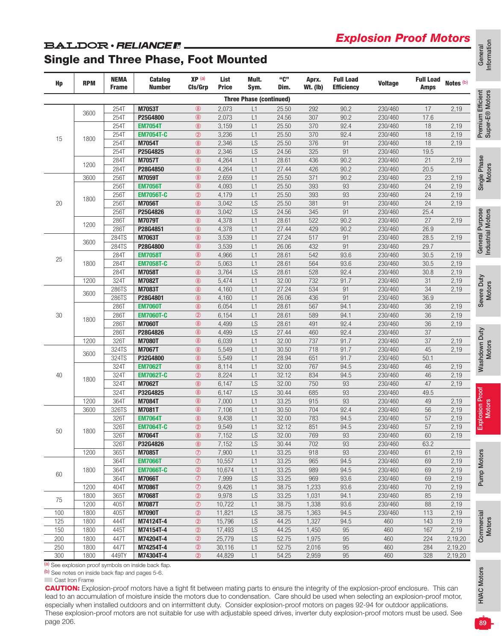# *Explosion Proof Motors*

### **BALDOR** · RELIANCE F Single and Three Phase, Foot Mounted

| Hp         | <b>RPM</b>   | <b>NEMA</b><br>Frame | <b>Catalog</b><br><b>Number</b>   | XP (a)<br>CIs/Grp                | List<br><b>Price</b> | Mult.<br>Sym.                  | "ር"<br>Dim.    | Aprx.<br><b>Wt. (Ib)</b> | <b>Full Load</b><br><b>Efficiency</b> | <b>Voltage</b>     | <b>Full Load</b><br><b>Amps</b> | Notes <sup>(b)</sup> |
|------------|--------------|----------------------|-----------------------------------|----------------------------------|----------------------|--------------------------------|----------------|--------------------------|---------------------------------------|--------------------|---------------------------------|----------------------|
|            |              |                      |                                   |                                  |                      | <b>Three Phase (continued)</b> |                |                          |                                       |                    |                                 |                      |
|            |              | 254T                 | M7053T                            | (8)                              | 2,073                | L1                             | 25.50          | 292                      | 90.2                                  | 230/460            | 17                              | 2,19                 |
|            | 3600         | 254T                 | P25G4800                          | $^{\circledR}$                   | 2,073                | L1                             | 24.56          | 307                      | 90.2                                  | 230/460            | 17.6                            |                      |
|            |              | 254T                 | <b>EM7054T</b>                    | $\circledR$                      | 3,159                | L1                             | 25.50          | 370                      | 92.4                                  | 230/460            | 18                              | 2,19                 |
| 15         | 1800         | 254T                 | <b>EM7054T-C</b>                  | $^{\circledR}$                   | 3,236                | L1                             | 25.50          | 370                      | 92.4                                  | 230/460            | 18                              | 2,19                 |
|            |              | 254T                 | <b>M7054T</b>                     | $^{\circledR}$                   | 2,346                | LS                             | 25.50          | 376                      | 91                                    | 230/460            | 18                              | 2,19                 |
|            |              | 254T                 | P25G4825                          | $^{\circledR}$                   | 2,346                | LS                             | 24.56          | 325                      | 91                                    | 230/460            | 19.5                            |                      |
|            | 1200         | 284T                 | <b>M7057T</b>                     | $\circledR$                      | 4,264                | L1                             | 28.61          | 436                      | 90.2                                  | 230/460            | 21                              | 2,19                 |
|            |              | 284T                 | P28G4850                          | $^{\circledR}$                   | 4,264                | L1                             | 27.44          | 426                      | 90.2                                  | 230/460            | 20.5                            |                      |
|            | 3600         | 256T                 | M7059T                            | $^{\circledR}$                   | 2,659                | L1                             | 25.50          | 371                      | 90.2                                  | 230/460            | 23                              | 2,19                 |
|            |              | 256T                 | <b>EM7056T</b>                    | $\circledR$                      | 4,093                | L1                             | 25.50          | 393                      | 93                                    | 230/460            | 24                              | 2,19                 |
|            | 1800         | 256T                 | <b>EM7056T-C</b>                  | $^{\circledR}$                   | 4,179                | L1                             | 25.50          | 393                      | 93                                    | 230/460            | 24                              | 2,19                 |
| 20         |              | <b>256T</b><br>256T  | <b>M7056T</b><br>P25G4826         | $\circledR$<br>$^{\circledR}$    | 3,042<br>3,042       | LS<br>LS                       | 25.50<br>24.56 | 381<br>345               | 91<br>91                              | 230/460<br>230/460 | 24<br>25.4                      | 2,19                 |
|            |              | <b>286T</b>          | M7079T                            | $\circledR$                      | 4,378                | L1                             | 28.61          | 522                      | 90.2                                  | 230/460            | 27                              | 2,19                 |
|            | 1200         | 286T                 | P28G4851                          | $\circledR$                      | 4,378                | L1                             | 27.44          | 429                      | 90.2                                  | 230/460            | 26.9                            |                      |
|            |              | 284TS                | M7063T                            | $^{\circledR}$                   | 3,539                | L1                             | 27.24          | 517                      | 91                                    | 230/460            | 28.5                            | 2,19                 |
|            | 3600         | 284TS                | P28G4800                          | $^{\circledR}$                   | 3,539                | L1                             | 26.06          | 432                      | 91                                    | 230/460            | 29.7                            |                      |
|            |              | 284T                 | <b>EM7058T</b>                    | $^{\circledR}$                   | 4,966                | L1                             | 28.61          | 542                      | 93.6                                  | 230/460            | 30.5                            | 2,19                 |
| 25         | 1800         | 284T                 | <b>EM7058T-C</b>                  | $^{\circledR}$                   | 5,063                | L1                             | 28.61          | 564                      | 93.6                                  | 230/460            | 30.5                            | 2,19                 |
|            |              | 284T                 | <b>M7058T</b>                     | $^{\circledR}$                   | 3,764                | LS                             | 28.61          | 528                      | 92.4                                  | 230/460            | 30.8                            | 2,19                 |
|            | 1200         | <b>324T</b>          | <b>M7082T</b>                     | $^{\circledR}$                   | 5,474                | L1                             | 32.00          | 732                      | 91.7                                  | 230/460            | 31                              | 2,19                 |
|            | 3600         | 286TS                | M7083T                            | $\circledR$                      | 4,160                | L1                             | 27.24          | 534                      | 91                                    | 230/460            | 34                              | 2,19                 |
|            |              | 286TS                | P28G4801                          | $\circledR$                      | 4,160                | L1                             | 26.06          | 436                      | 91                                    | 230/460            | 36.9                            |                      |
|            |              | 286T                 | <b>EM7060T</b>                    | (8)                              | 6,054                | L1                             | 28.61          | 567                      | 94.1                                  | 230/460            | 36                              | 2,19                 |
| 30         | 1800         | <b>286T</b>          | <b>EM7060T-C</b>                  | $^{\circledR}$                   | 6,154                | L1                             | 28.61          | 589                      | 94.1                                  | 230/460            | 36                              | 2,19                 |
|            |              | 286T                 | <b>M7060T</b>                     | $^{\circledR}$                   | 4,499                | LS                             | 28.61          | 491                      | 92.4                                  | 230/460            | 36                              | 2,19                 |
|            |              | <b>286T</b>          | P28G4826                          | $\circledR$                      | 4,499                | LS                             | 27.44          | 460                      | 92.4                                  | 230/460            | 37                              |                      |
|            | 1200         | <b>326T</b>          | <b>M7080T</b>                     | $\circledR$                      | 6,039                | L1                             | 32.00          | 737                      | 91.7                                  | 230/460            | 37                              | 2,19<br>2,19         |
|            | 3600         | 324TS                | <b>M7067T</b>                     | (8)                              | 5,549                | L1                             | 30.50          | 718                      | 91.7                                  | 230/460            | 45                              |                      |
|            |              | 324TS                | P32G4800                          | $^{\circledR}$                   | 5,549                | L1                             | 28.94          | 651                      | 91.7                                  | 230/460            | 50.1                            |                      |
|            |              | 324T                 | <b>EM7062T</b>                    | $\circledR$                      | 8,114                | L1                             | 32.00          | 767                      | 94.5                                  | 230/460            | 46                              | 2,19                 |
| 40         | 1800         | 324T<br>324T         | <b>EM7062T-C</b><br><b>M7062T</b> | $^{\circledR}$<br>$^{\circledR}$ | 8,224<br>6,147       | L1<br>LS                       | 32.12<br>32.00 | 834<br>750               | 94.5<br>93                            | 230/460<br>230/460 | 46<br>47                        | 2,19                 |
|            |              | <b>324T</b>          | P32G4825                          | $^{\circledR}$                   | 6,147                | LS                             | 30.44          | 685                      | 93                                    | 230/460            | 49.5                            | 2,19                 |
|            | 1200         | 364T                 | <b>M7084T</b>                     | $^{\circledR}$                   | 7,000                | L1                             | 33.25          | 915                      | 93                                    | 230/460            | 49                              | 2,19                 |
|            | 3600         | 326TS                | M7081T                            | (8)                              | 7,106                | L1                             | 30.50          | 704                      | 92.4                                  | 230/460            | 56                              | 2,19                 |
|            |              | 326T                 | <b>EM7064T</b>                    | $^{\circledR}$                   | 9,438                | L1                             | 32.00          | 783                      | 94.5                                  | 230/460            | 57                              | 2,19                 |
|            |              | 326T                 | <b>EM7064T-C</b>                  | $\circledS$                      | 9,549                | L1                             | 32.12          | 851                      | 94.5                                  | 230/460            | 57                              | 2,19                 |
| $50\,$     | 1800         | 326T                 | M7064T                            | $\circledR$                      | 7,152                | LS                             | 32.00          | 769                      | 93                                    | 230/460            | 60                              | 2,19                 |
|            |              | 326T                 | P32G4826                          | @                                | 7,152                | LS                             | 30.44          | 702                      | 93                                    | 230/460            | 63.2                            |                      |
|            | 1200         | 365T                 | M7085T                            | $\circledcirc$                   | 7,900                | L1                             | 33.25          | 918                      | 93                                    | 230/460            | 61                              | 2,19                 |
|            |              | 364T                 | <b>EM7066T</b>                    | $\circledcirc$                   | 10,557               | L1                             | 33.25          | 965                      | 94.5                                  | 230/460            | 69                              | 2,19                 |
| 60         | 1800         | 364T                 | <b>EM7066T-C</b>                  | $\circledS$                      | 10,674               | L1                             | 33.25          | 989                      | 94.5                                  | 230/460            | 69                              | 2,19                 |
|            |              | 364T                 | <b>M7066T</b>                     | $\circledcirc$                   | 7,999                | LS                             | 33.25          | 969                      | 93.6                                  | 230/460            | 69                              | 2,19                 |
|            | 1200         | 404T                 | <b>M7086T</b>                     | $\circledcirc$                   | 9,426                | L1                             | 38.75          | 1,233                    | 93.6                                  | 230/460            | 70                              | 2,19                 |
| 75         | 1800         | 365T                 | M7068T                            | $\circledS$                      | 9,978                | LS                             | 33.25          | 1,031                    | 94.1                                  | 230/460            | 85                              | 2,19                 |
|            | 1200         | 405T                 | <b>M7087T</b>                     | $\circledcirc$                   | 10,722               | L1                             | 38.75          | 1,338                    | 93.6                                  | 230/460            | 88                              | 2,19                 |
| 100        | 1800         | 405T                 | <b>M7090T</b>                     | $^{\circ}$                       | 11,821               | LS                             | 38.75          | 1,363                    | 94.5                                  | 230/460            | 113                             | 2,19                 |
| 125        | 1800         | 444T                 | M74124T-4                         | $^{\circledR}$                   | 15,796               | LS                             | 44.25          | 1,327                    | 94.5                                  | 460                | 143                             | 2,19                 |
| 150<br>200 | 1800<br>1800 | 445T                 | M74154T-4                         | $^{\circledR}$                   | 17,493               | LS<br>LS                       | 44.25          | 1,450                    | $95\,$<br>95                          | 460<br>460         | 167<br>224                      | 2,19                 |
| 250        | 1800         | 447T<br>447T         | M74204T-4<br>M74254T-4            | $\circledS$<br>$^{\circ}$        | 25,779<br>30,116     | L1                             | 52.75<br>52.75 | 1,975<br>2,016           | 95                                    | 460                | 284                             | 2,19,20<br>2,19,20   |
| 300        | 1800         | 449TY                | M74304T-4                         | $^{\circ}$                       | 44,829               | L1                             | 54.25          | 2,959                    | 95                                    | 460                | 328                             | 2,19,20              |
|            |              |                      |                                   |                                  |                      |                                |                |                          |                                       |                    |                                 |                      |

CAUTION: Explosion-proof motors have a tight fit between mating parts to ensure the integrity of the explosion-proof enclosure. This can lead to an accumulation of moisture inside the motors due to condensation. Care should be used when selecting an explosion-proof motor, especially when installed outdoors and on intermittent duty. Consider explosion-proof motors on pages 92-94 for outdoor applications. These explosion-proof motors are not suitable for use with adjustable speed drives, inverter duty explosion-proof motors must be used. See page 206.

Super-E® Motors Super-E® Motors

Motors

Industrial Motors Industrial Motors

Motors

Motors

Motors

 $89$ 

**HVAC Motors**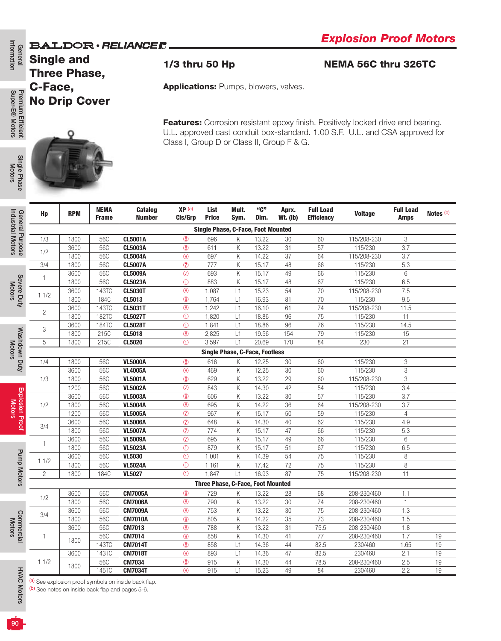### **BALDOR** · RELIANCE F



| formation<br>General                 | <b>Single and</b><br><b>Three Phase,</b> |              |                             |                                  | 1/3 thru 50 Hp                               |                      |               |                                           |                          |                                       | <b>NEMA 56C thru 326TC</b>                                                                                                                                              |                                 |                      |
|--------------------------------------|------------------------------------------|--------------|-----------------------------|----------------------------------|----------------------------------------------|----------------------|---------------|-------------------------------------------|--------------------------|---------------------------------------|-------------------------------------------------------------------------------------------------------------------------------------------------------------------------|---------------------------------|----------------------|
| Premium Efficient<br>Super-E® Motors | C-Face,<br><b>No Drip Cover</b>          |              |                             |                                  | <b>Applications: Pumps, blowers, valves.</b> |                      |               |                                           |                          |                                       |                                                                                                                                                                         |                                 |                      |
| Single Phase<br>Motors               |                                          |              |                             |                                  | Class I, Group D or Class II, Group F & G.   |                      |               |                                           |                          |                                       | <b>Features:</b> Corrosion resistant epoxy finish. Positively locked drive end bearing.<br>U.L. approved cast conduit box-standard. 1.00 S.F. U.L. and CSA approved for |                                 |                      |
|                                      | Hp                                       | <b>RPM</b>   | <b>NEMA</b><br><b>Frame</b> | <b>Catalog</b><br><b>Number</b>  | XP <sub>(a)</sub><br><b>CIs/Grp</b>          | List<br><b>Price</b> | Mult.<br>Sym. | "C"<br>Dim.                               | Aprx.<br><b>Wt.</b> (lb) | <b>Full Load</b><br><b>Efficiency</b> | <b>Voltage</b>                                                                                                                                                          | <b>Full Load</b><br><b>Amps</b> | Notes <sup>(b)</sup> |
| General Purpose<br>Industrial Motors |                                          |              |                             |                                  |                                              |                      |               | <b>Single Phase, C-Face, Foot Mounted</b> |                          |                                       |                                                                                                                                                                         |                                 |                      |
|                                      | 1/3                                      | 1800         | 56C                         | <b>CL5001A</b>                   | $^{\circledR}$                               | 696                  | Κ             | 13.22                                     | 30                       | 60                                    | 115/208-230                                                                                                                                                             | 3                               |                      |
|                                      | 1/2                                      | 3600         | 56C                         | <b>CL5003A</b>                   | $^{\circledR}$                               | 611                  | Κ             | 13.22                                     | 31                       | 57                                    | 115/230                                                                                                                                                                 | 3.7                             |                      |
|                                      |                                          | 1800         | 56C                         | <b>CL5004A</b>                   | $\circledR$                                  | 697                  | Κ             | 14.22                                     | 37                       | 64                                    | 115/208-230                                                                                                                                                             | 3.7                             |                      |
|                                      | 3/4                                      | 1800         | 56C                         | <b>CL5007A</b><br><b>CL5009A</b> | $\circledcirc$<br>$\circledcirc$             | 777<br>693           | Κ             | 15.17                                     | 48                       | 66                                    | 115/230                                                                                                                                                                 | 5.3                             |                      |
| Severe Duty<br>Motors                | 1                                        | 3600<br>1800 | 56C<br>56C                  | CL5023A                          | $\bigcirc$                                   | 883                  | Κ<br>Κ        | 15.17<br>15.17                            | 49<br>48                 | 66<br>67                              | 115/230<br>115/230                                                                                                                                                      | 6<br>6.5                        |                      |
|                                      |                                          | 3600         | 143TC                       | <b>CL5030T</b>                   | $\circledR$                                  | 1,087                | L1            | 15.23                                     | 54                       | $70\,$                                | 115/208-230                                                                                                                                                             | 7.5                             |                      |
|                                      | 11/2                                     | 1800         | 184C                        | CL5013                           | $\circledR$                                  | 1,764                | L1            | 16.93                                     | 81                       | 70                                    | 115/230                                                                                                                                                                 | 9.5                             |                      |
|                                      |                                          | 3600         | 143TC                       | CL5031T                          | $^{\circledR}$                               | 1,242                | L1            | 16.10                                     | 61                       | 74                                    | 115/208-230                                                                                                                                                             | 11.5                            |                      |
|                                      | $\mathbf{2}$                             | 1800         | 182TC                       | <b>CL5027T</b>                   | $\bigcirc$                                   | 1,820                | L1            | 18.86                                     | 96                       | 75                                    | 115/230                                                                                                                                                                 | 11                              |                      |
|                                      | 3                                        | 3600         | 184TC                       | <b>CL5028T</b>                   | $\circled{0}$                                | 1,841                | L1            | 18.86                                     | 96                       | 76                                    | 115/230                                                                                                                                                                 | 14.5                            |                      |
|                                      |                                          | 1800         | 215C                        | CL5018                           | $^{\circledR}$                               | 2,825                | L1            | 19.56                                     | 154                      | 79                                    | 115/230                                                                                                                                                                 | 15                              |                      |
|                                      | 5                                        | 1800         | 215C                        | <b>CL5020</b>                    | $\circledD$                                  | 3,597                | L1            | 20.69                                     | 170                      | 84                                    | 230                                                                                                                                                                     | 21                              |                      |
| <b>Motors</b>                        |                                          |              |                             |                                  |                                              |                      |               | <b>Single Phase, C-Face, Footless</b>     |                          |                                       |                                                                                                                                                                         |                                 |                      |
| Washdown Duty                        | 1/4                                      | 1800         | 56C                         | <b>VL5000A</b>                   | $^{\circledR}$                               | 616                  | Κ             | 12.25                                     | 30                       | 60                                    | 115/230                                                                                                                                                                 | 3                               |                      |
|                                      |                                          | 3600         | 56C                         | <b>VL4005A</b>                   | $^{\circledR}$                               | 469                  | Κ             | 12.25                                     | 30                       | 60                                    | 115/230                                                                                                                                                                 | 3                               |                      |
|                                      | 1/3                                      | 1800         | 56C                         | <b>VL5001A</b>                   | $\circledR$                                  | 629                  | Κ             | 13.22                                     | 29                       | 60                                    | 115/208-230                                                                                                                                                             | 3                               |                      |
|                                      |                                          | 1200<br>3600 | 56C<br>56C                  | <b>VL5002A</b><br><b>VL5003A</b> | $\circledcirc$<br>$^{\circledR}$             | 843<br>606           | Κ<br>Κ        | 14.30<br>13.22                            | 42<br>30                 | 54<br>57                              | 115/230<br>115/230                                                                                                                                                      | 3.4<br>3.7                      |                      |
| Explosion Pr<br>Motors               | 1/2                                      | 1800         | <b>56C</b>                  | <b>VL5004A</b>                   | $\circledR$                                  | 695                  | Κ             | 14.22                                     | 36                       | 64                                    | 115/208-230                                                                                                                                                             | 3.7                             |                      |
|                                      |                                          | 1200         | <b>56C</b>                  | <b>VL5005A</b>                   | $\circledcirc$                               | 967                  | Κ             | 15.17                                     | $50$                     | 59                                    | 115/230                                                                                                                                                                 | $\overline{4}$                  |                      |
| Proof                                |                                          | 3600         | 56C                         | <b>VL5006A</b>                   | $\circledcirc$                               | 648                  | Κ             | 14.30                                     | 40                       | 62                                    | 115/230                                                                                                                                                                 | 4.9                             |                      |
|                                      | 3/4                                      | 1800         | 56C                         | <b>VL5007A</b>                   | $\circledcirc$                               | 774                  | Κ             | 15.17                                     | 47                       | 66                                    | 115/230                                                                                                                                                                 | 5.3                             |                      |
|                                      | 1                                        | 3600         | <b>56C</b>                  | <b>VL5009A</b>                   | $\circledcirc$                               | 695                  | Κ             | 15.17                                     | 49                       | 66                                    | 115/230                                                                                                                                                                 | 6                               |                      |
|                                      |                                          | 1800         | <b>56C</b>                  | <b>VL5023A</b>                   | $\circled{0}$                                | 879                  | Κ             | 15.17                                     | 51                       | 67                                    | 115/230                                                                                                                                                                 | 6.5                             |                      |
|                                      | 11/2                                     | 3600         | <b>56C</b>                  | <b>VL5030</b>                    | $\odot$                                      | 1,001                | Κ             | 14.39                                     | 54                       | 75                                    | 115/230                                                                                                                                                                 | 8                               |                      |
|                                      |                                          | 1800         | 56C                         | <b>VL5024A</b>                   | $^{\circ}$                                   | 1,161                | Κ             | 17.42                                     | 72                       | 75                                    | 115/230                                                                                                                                                                 | 8                               |                      |
| Pump Motors                          | $\mathbf{2}$                             | 1800         | 184C                        | <b>VL5027</b>                    | $\circled{0}$                                | 1,847                | L1            | 16.93                                     | 87                       | 75                                    | 115/208-230                                                                                                                                                             | 11                              |                      |
|                                      |                                          |              |                             |                                  |                                              |                      |               | <b>Three Phase, C-Face, Foot Mounted</b>  |                          |                                       |                                                                                                                                                                         |                                 |                      |
|                                      | 1/2                                      | 3600<br>1800 | 56C<br>56C                  | <b>CM7005A</b><br><b>CM7006A</b> | @<br>$\circledR$                             | 729<br>790           | Κ<br>Κ        | 13.22<br>13.22                            | 28<br>30                 | 68<br>74                              | 208-230/460<br>208-230/460                                                                                                                                              | 1.1<br>$\mathbf{1}$             |                      |
|                                      |                                          | 3600         | <b>56C</b>                  | <b>CM7009A</b>                   | $^{\circledR}$                               | 753                  | Κ             | 13.22                                     | 30                       | 75                                    | 208-230/460                                                                                                                                                             | 1.3                             |                      |
|                                      | 3/4                                      | 1800         | 56C                         | <b>CM7010A</b>                   | $^{\circledR}$                               | 805                  | Κ             | 14.22                                     | 35                       | 73                                    | 208-230/460                                                                                                                                                             | 1.5                             |                      |
| Commercial<br>Motors                 |                                          | 3600         | 56C                         | CM7013                           | $^{\circledR}$                               | 788                  | Κ             | 13.22                                     | 31                       | 75.5                                  | 208-230/460                                                                                                                                                             | 1.8                             |                      |
|                                      | 1                                        |              | 56C                         | <b>CM7014</b>                    | $\circledR$                                  | 858                  | Κ             | 14.30                                     | 41                       | $77\,$                                | 208-230/460                                                                                                                                                             | 1.7                             | 19                   |
|                                      |                                          | 1800         | 143TC                       | <b>CM7014T</b>                   | $\circledR$                                  | 858                  | L1            | 14.36                                     | 44                       | 82.5                                  | 230/460                                                                                                                                                                 | 1.65                            | 19                   |
|                                      |                                          | 3600         | 143TC                       | <b>CM7018T</b>                   | $^{\circledR}$                               | 893                  | L1            | 14.36                                     | 47                       | 82.5                                  | 230/460                                                                                                                                                                 | 2.1                             | 19                   |
|                                      | 11/2                                     | 1800         | 56C                         | <b>CM7034</b>                    | @                                            | 915                  | Κ             | 14.30                                     | 44                       | 78.5                                  | 208-230/460                                                                                                                                                             | 2.5                             | 19                   |
| <b>HVAC Motors</b>                   |                                          |              | 145TC                       | <b>CM7034T</b>                   | $^{\circledR}$                               | 915                  | L1            | 15.23                                     | 49                       | 84                                    | 230/460                                                                                                                                                                 | 2.2                             | 19                   |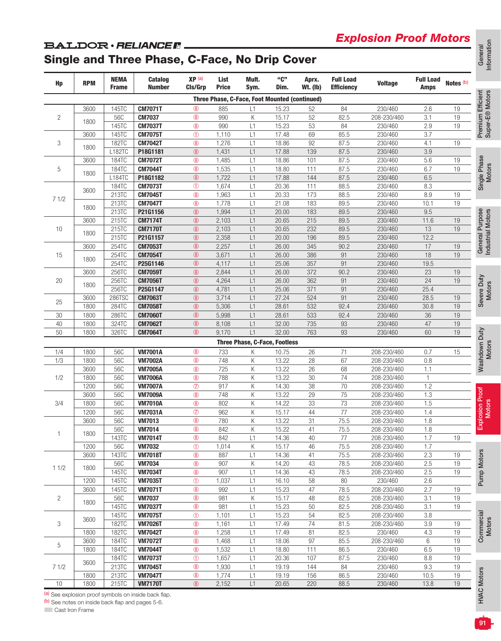# *Explosion Proof Motors*

# Single and Three Phase, C-Face, No Drip Cover

**BALDOR** · RELIANCER.

| Hp             | <b>RPM</b>   | <b>NEMA</b><br>Frame | <b>Catalog</b><br><b>Number</b>  | XP (a)<br>CIs/Grp     | List<br><b>Price</b> | Mult.<br>Sym.                                        | "C"<br>Dim.    | Aprx.<br><b>Wt. (Ib)</b> | <b>Full Load</b><br><b>Efficiency</b> | <b>Voltage</b>             | <b>Full Load</b><br><b>Amps</b> | Notes <sup>(b)</sup> |
|----------------|--------------|----------------------|----------------------------------|-----------------------|----------------------|------------------------------------------------------|----------------|--------------------------|---------------------------------------|----------------------------|---------------------------------|----------------------|
|                |              |                      |                                  |                       |                      | <b>Three Phase, C-Face, Foot Mounted (continued)</b> |                |                          |                                       |                            |                                 |                      |
|                | 3600         | 145TC                | <b>CM7071T</b>                   | (8)                   | 885                  | L1                                                   | 15.23          | 52                       | 84                                    | 230/460                    | 2.6                             | 19                   |
| $\overline{c}$ | 1800         | 56C                  | <b>CM7037</b>                    | (8)                   | 990                  | Κ                                                    | 15.17          | 52                       | 82.5                                  | 208-230/460                | 3.1                             | 19                   |
|                |              | 145TC                | <b>CM7037T</b>                   | (8)                   | 990                  | L1                                                   | 15.23          | 53                       | 84                                    | 230/460                    | 2.9                             | 19                   |
|                | 3600         | 145TC                | <b>CM7075T</b>                   | $\circledD$           | 1,110                | L1                                                   | 17.48          | 69                       | 85.5                                  | 230/460                    | 3.7                             |                      |
| 3              | 1800         | 182TC                | <b>CM7042T</b>                   | $^{\circledR}$        | 1,276                | L1                                                   | 18.86          | 92                       | 87.5                                  | 230/460                    | 4.1                             | 19                   |
|                |              | L182TC               | P18G1181                         | (8)                   | 1,431                | L1                                                   | 17.88          | 139                      | 87.5                                  | 230/460                    | 3.9                             |                      |
|                | 3600         | 184TC                | <b>CM7072T</b>                   | (8)                   | 1,485                | L1                                                   | 18.86          | 101                      | 87.5                                  | 230/460                    | 5.6                             | 19                   |
| 5              | 1800         | 184TC                | <b>CM7044T</b>                   | $\circledR$           | 1,535                | L1                                                   | 18.80          | 111                      | 87.5                                  | 230/460                    | 6.7                             | 19                   |
|                |              | L184TC               | P18G1182                         | (8)                   | 1,722                | L1                                                   | 17.88          | 144                      | 87.5                                  | 230/460                    | 6.5                             |                      |
|                | 3600         | 184TC                | <b>CM7073T</b>                   | $^{\circledR}$<br>(8) | 1,674<br>1,963       | L1<br>L1                                             | 20.36<br>20.33 | 111<br>173               | 88.5                                  | 230/460<br>230/460         | 8.3<br>8.9                      | 19                   |
| 71/2           |              | 213TC<br>213TC       | <b>CM7045T</b><br><b>CM7047T</b> | (8)                   | 1,778                | L1                                                   | 21.08          | 183                      | 88.5<br>89.5                          | 230/460                    | 10.1                            | 19                   |
|                | 1800         | 213TC                | P21G1156                         | (8)                   | 1,994                | L1                                                   | 20.00          | 183                      | 89.5                                  | 230/460                    | 9.5                             |                      |
|                | 3600         | 215TC                | <b>CM7174T</b>                   | (8)                   | 2,103                | L1                                                   | 20.65          | 215                      | 89.5                                  | 230/460                    | 11.6                            | 19                   |
| 10             |              | 215TC                | <b>CM7170T</b>                   | (8)                   | 2,103                | L1                                                   | 20.65          | 232                      | 89.5                                  | 230/460                    | 13                              | 19                   |
|                | 1800         | 215TC                | P21G1157                         | (8)                   | 2,358                | L1                                                   | 20.00          | 196                      | 89.5                                  | 230/460                    | 12.2                            |                      |
|                | 3600         | 254TC                | <b>CM7053T</b>                   | (8)                   | 2,257                | L1                                                   | 26.00          | 345                      | 90.2                                  | 230/460                    | 17                              | 19                   |
| 15             |              | 254TC                | <b>CM7054T</b>                   | (8)                   | 3,671                | L1                                                   | 26.00          | 386                      | 91                                    | 230/460                    | 18                              | 19                   |
|                | 1800         | 254TC                | P25G1146                         | (8)                   | 4,117                | L1                                                   | 25.06          | 357                      | 91                                    | 230/460                    | 19.5                            |                      |
|                | 3600         | 256TC                | <b>CM7059T</b>                   | (8)                   | 2,844                | L1                                                   | 26.00          | 372                      | 90.2                                  | 230/460                    | 23                              | 19                   |
| 20             | 1800         | 256TC                | <b>CM7056T</b>                   | (8)                   | 4,264                | L1                                                   | 26.00          | 362                      | 91                                    | 230/460                    | 24                              | 19                   |
|                |              | 256TC                | P25G1147                         | (8)                   | 4,781                | L1                                                   | 25.06          | 371                      | 91                                    | 230/460                    | 25.4                            |                      |
| 25             | 3600         | 286TSC               | <b>CM7063T</b>                   | (8)                   | 3,714                | L1                                                   | 27.24          | 524                      | 91                                    | 230/460                    | 28.5                            | 19                   |
|                | 1800         | 284TC                | <b>CM7058T</b>                   | (8)                   | 5,306                | L1                                                   | 28.61          | 532                      | 92.4                                  | 230/460                    | 30.8                            | 19                   |
| 30             | 1800         | 286TC                | <b>CM7060T</b>                   | (8)                   | 5,998                | L1                                                   | 28.61          | 533                      | 92.4                                  | 230/460                    | 36                              | 19                   |
| 40             | 1800         | 324TC                | <b>CM7062T</b>                   | (8)                   | 8,108                | L1                                                   | 32.00          | 735                      | 93                                    | 230/460                    | 47                              | 19                   |
| 50             | 1800         | 326TC                | <b>CM7064T</b>                   | (8)                   | 9,170                | L1                                                   | 32.00          | 763                      | 93                                    | 230/460                    | 60                              | 19                   |
|                |              |                      |                                  |                       |                      | <b>Three Phase, C-Face, Footless</b>                 |                |                          |                                       |                            |                                 |                      |
| 1/4            | 1800         | 56C                  | <b>VM7001A</b>                   | $^{\circledR}$        | 733                  | Κ                                                    | 10.75          | 26                       | 71                                    | 208-230/460                | 0.7                             | 15                   |
| 1/3            | 1800         | 56C                  | <b>VM7002A</b>                   | (8)                   | 748                  | Κ                                                    | 13.22          | 28                       | 67                                    | 208-230/460                | 0.8                             |                      |
|                | 3600         | 56C                  | <b>VM7005A</b>                   | (8)                   | 725                  | Κ                                                    | 13.22          | 26                       | 68                                    | 208-230/460                | 1.1                             |                      |
| 1/2            | 1800         | 56C                  | <b>VM7006A</b>                   | (8)                   | 788                  | Κ                                                    | 13.22          | 30                       | 74                                    | 208-230/460                | $\mathbf{1}$                    |                      |
|                | 1200         | 56C                  | <b>VM7007A</b>                   | $\circledcirc$        | 917                  | Κ                                                    | 14.30          | 38                       | 70                                    | 208-230/460                | 1.2                             |                      |
|                | 3600         | 56C                  | <b>VM7009A</b>                   | (8)                   | 748                  | Κ                                                    | 13.22          | 29                       | 75                                    | 208-230/460                | 1.3                             |                      |
| 3/4            | 1800         | 56C                  | <b>VM7010A</b>                   | (8)                   | 802                  | Κ                                                    | 14.22          | 33                       | 73                                    | 208-230/460                | 1.5                             |                      |
|                | 1200         | 56C                  | <b>VM7031A</b>                   | $\circledcirc$        | 962                  | Κ                                                    | 15.17          | 44                       | 77                                    | 208-230/460                | 1.4                             |                      |
|                | 3600         | 56C<br>56C           | <b>VM7013</b><br><b>VM7014</b>   | (8)<br>(8)            | 780<br>842           | Κ<br>Κ                                               | 13.22<br>15.22 | 31<br>41                 | 75.5<br>75.5                          | 208-230/460<br>208-230/460 | 1.8<br>1.8                      |                      |
| $\overline{1}$ | 1800         | 143TC                | <b>VM7014T</b>                   | $^{\circledR}$        | 842                  | L1                                                   | 14.36          | 40                       | 77                                    | 208-230/460                | 1.7                             | 19                   |
|                | 1200         | <b>56C</b>           | <b>VM7032</b>                    | $^{\circ}$            | 1,014                | Κ                                                    | 15.17          | 46                       | 75.5                                  | 208-230/460                | 1.7                             |                      |
|                | 3600         | 143TC                | <b>VM7018T</b>                   | $\circledR$           | 887                  | L1                                                   | 14.36          | 41                       | 75.5                                  | 208-230/460                | 2.3                             | 19                   |
|                |              | <b>56C</b>           | <b>VM7034</b>                    | (8)                   | 907                  | Κ                                                    | 14.20          | 43                       | 78.5                                  | 208-230/460                | 2.5                             | 19                   |
| 11/2           | 1800         | 145TC                | <b>VM7034T</b>                   | $^{\circledR}$        | 907                  | L1                                                   | 14.36          | 43                       | 78.5                                  | 208-230/460                | 2.5                             | 19                   |
|                | 1200         | 145TC                | <b>VM7035T</b>                   | $^{\circ}$            | 1,037                | L1                                                   | 16.10          | 58                       | $80\,$                                | 230/460                    | 2.6                             |                      |
|                | 3600         | 145TC                | <b>VM7071T</b>                   | $\circledR$           | 992                  | L1                                                   | 15.23          | 47                       | 78.5                                  | 208-230/460                | 2.7                             | 19                   |
| $\overline{c}$ |              | <b>56C</b>           | <b>VM7037</b>                    | (8)                   | 981                  | Κ                                                    | 15.17          | 48                       | 82.5                                  | 208-230/460                | 3.1                             | 19                   |
|                | 1800         | 145TC                | <b>VM7037T</b>                   | $^{\circledR}$        | 981                  | L1                                                   | 15.23          | 50                       | 82.5                                  | 208-230/460                | 3.1                             | 19                   |
|                | 3600         | 145TC                | <b>VM7075T</b>                   | $^{\circ}$            | 1,101                | L1                                                   | 15.23          | 54                       | 82.5                                  | 208-230/460                | 3.8                             |                      |
| 3              |              | 182TC                | <b>VM7026T</b>                   | $^{\circledR}$        | 1,161                | L1                                                   | 17.49          | 74                       | 81.5                                  | 208-230/460                | 3.9                             | 19                   |
|                | 1800         | 182TC                | <b>VM7042T</b>                   | (8)                   | 1,258                | L1                                                   | 17.49          | 81                       | 82.5                                  | 230/460                    | 4.3                             | 19                   |
| 5              | 3600         | 184TC                | <b>VM7072T</b>                   | $^{\circledR}$        | 1,468                | L1                                                   | 18.06          | 97                       | 85.5                                  | 208-230/460                | 6                               | 19                   |
|                | 1800         | 184TC                | <b>VM7044T</b>                   | $^{\circledR}$        | 1,532                | L1                                                   | 18.80          | 111                      | 86.5                                  | 230/460                    | 6.5                             | 19                   |
|                | 3600         | 184TC                | <b>VM7073T</b>                   | $^{\circledR}$        | 1,657                | L1                                                   | 20.36          | 107                      | 87.5                                  | 230/460                    | 8.8                             | 19                   |
| 71/2           |              | 213TC                | <b>VM7045T</b>                   | (8)                   | 1,930                | L1                                                   | 19.19          | 144                      | 84                                    | 230/460                    | 9.3                             | 19                   |
| 10             | 1800<br>1800 | 213TC                | <b>VM7047T</b>                   | $^{\circledR}$        | 1,774                | L1<br>L1                                             | 19.19<br>20.65 | 156                      | 86.5                                  | 230/460<br>230/460         | 10.5<br>13.8                    | 19<br>19             |
|                |              | 215TC                | <b>VM7170T</b>                   | (8)                   | 2,152                |                                                      |                | 220                      | 88.5                                  |                            |                                 |                      |

**Cast Iron Frame** 

General<br>Information Information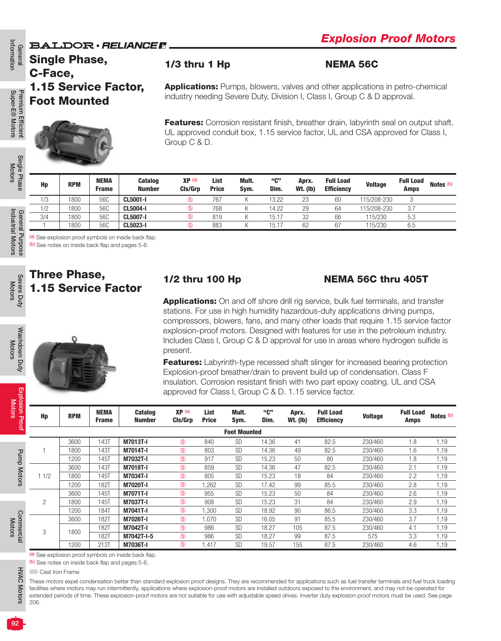### **BALDOR** · RELIANCE F

# Single Phase, C-Face,

### 1/3 thru 1 Hp NEMA 56C

1.15 Service Factor, Foot Mounted



**Applications:** Pumps, blowers, valves and other applications in petro-chemical industry needing Severe Duty, Division I, Class I, Group C & D approval.

Features: Corrosion resistant finish, breather drain, labyrinth seal on output shaft. UL approved conduit box, 1.15 service factor, UL and CSA approved for Class I, Group C & D.

Information

General

Informatior

Super-E® Motors Premium Efficient

Super-E<sup>®</sup> Motors Premium Efficien

| Hp  | <b>RPM</b> | <b>NEMA</b><br>Frame | <b>Catalog</b><br><b>Number</b> | XP <sub>(a)</sub><br>CIs/Grp | List<br><b>Price</b> | Mult.<br>Svm. | "ር"<br>Dim. | Aprx.<br>Wt. (Ib) | <b>Full Load</b><br><b>Efficiency</b> | <b>Voltage</b> | <b>Full Load</b><br><b>Amps</b> | Notes <sup>(b)</sup> |
|-----|------------|----------------------|---------------------------------|------------------------------|----------------------|---------------|-------------|-------------------|---------------------------------------|----------------|---------------------------------|----------------------|
| 1/3 | 1800       | 56C                  | <b>CL5001-I</b>                 | டு                           | 767                  |               | 13.22       | 23                | 60                                    | 115/208-230    |                                 |                      |
| 1/2 | 1800       | 56C                  | <b>CL5004-I</b>                 | <u>ේ</u>                     | 768                  |               | 14.22       | 29                | 64                                    | 115/208-230    | 3.7                             |                      |
| 3/4 | 1800       | 56C                  | <b>CL5007-I</b>                 | 5                            | 819                  |               | 15.17       | 32                | 66                                    | 115/230        | 5.3                             |                      |
|     | 1800       | 56C                  | CL5023-I                        | ௺                            | 883                  |               | 15.17       | 62                | 67                                    | 15/230         | 6.5                             |                      |

(a) See explosion proof symbols on inside back flap.

(b) See notes on inside back flap and pages 5-6.

Severe Duty Severe Duty<br>Motors

General Purpose Industrial Motors

General Purpose<br>Industrial Motors

Motors

Motors

Pump Motors

**Pump Motors** 

Commercial Motors

Commercia

**HVAC** 

**Motors** 

# Three Phase, 1.15 Service Factor



### 1/2 thru 100 Hp NEMA 56C thru 405T

**Applications:** On and off shore drill rig service, bulk fuel terminals, and transfer stations. For use in high humidity hazardous-duty applications driving pumps, compressors, blowers, fans, and many other loads that require 1.15 service factor explosion-proof motors. Designed with features for use in the petroleum industry. Includes Class I, Group C & D approval for use in areas where hydrogen sulfide is present.

**Features:** Labyrinth-type recessed shaft slinger for increased bearing protection Explosion-proof breather/drain to prevent build up of condensation. Class F insulation. Corrosion resistant finish with two part epoxy coating. UL and CSA approved for Class I, Group C & D. 1.15 service factor.

| Hp   | <b>RPM</b> | <b>NEMA</b><br><b>Frame</b> | <b>Catalog</b><br><b>Number</b> | XP <sub>(a)</sub><br>Cls/Grp | List<br><b>Price</b> | Mult.<br>Sym.       | "ር"<br>Dim. | Aprx.<br><b>Wt.</b> (lb) | <b>Full Load</b><br><b>Efficiency</b> | <b>Voltage</b> | <b>Full Load</b><br><b>Amps</b> | Notes <sup>(b)</sup> |
|------|------------|-----------------------------|---------------------------------|------------------------------|----------------------|---------------------|-------------|--------------------------|---------------------------------------|----------------|---------------------------------|----------------------|
|      |            |                             |                                 |                              |                      | <b>Foot Mounted</b> |             |                          |                                       |                |                                 |                      |
|      | 3600       | 143T                        | M7013T-I                        | $\circledS$                  | 840                  | <b>SD</b>           | 14.36       | 41                       | 82.5                                  | 230/460        | 1.8                             | 1,19                 |
|      | 1800       | 143T                        | <b>M7014T-I</b>                 | <b>(5)</b>                   | 803                  | <b>SD</b>           | 14.36       | 49                       | 82.5                                  | 230/460        | 1.6                             | 1,19                 |
|      | 1200       | 145T                        | M7032T-I                        | (5)                          | 917                  | <b>SD</b>           | 15.23       | 50                       | 80                                    | 230/460        | 1.8                             | 1,19                 |
|      | 3600       | 143T                        | M7018T-I                        | <b>(5)</b>                   | 859                  | <b>SD</b>           | 14.36       | 47                       | 82.5                                  | 230/460        | 2.1                             | 1,19                 |
| 11/2 | 1800       | 145T                        | M7034T-I                        | (5)                          | 805                  | <b>SD</b>           | 15.23       | 18                       | 84                                    | 230/460        | 2.2                             | 1,19                 |
|      | 1200       | 182T                        | <b>M7020T-I</b>                 | ௫                            | 1.262                | <b>SD</b>           | 17.42       | 99                       | 85.5                                  | 230/460        | 2.8                             | 1,19                 |
|      | 3600       | 145T                        | <b>M7071T-I</b>                 | $\circledS$                  | 955                  | <b>SD</b>           | 15.23       | 50                       | 84                                    | 230/460        | 2.6                             | 1,19                 |
| 2    | 1800       | 145T                        | M7037T-I                        | $\circledS$                  | 908                  | <b>SD</b>           | 15.23       | 31                       | 84                                    | 230/460        | 2.9                             | 1,19                 |
|      | 1200       | 184T                        | M7041T-I                        | $\circledS$                  | 0.300                | <b>SD</b>           | 18.92       | 90                       | 86.5                                  | 230/460        | 3.3                             | 1,19                 |
| 3    | 3600       | 182T                        | M7026T-I                        | $\circledS$                  | 1.070                | <b>SD</b>           | 16.05       | 91                       | 85.5                                  | 230/460        | 3.7                             | 1,19                 |
|      | 1800       | 182T                        | <b>M7042T-I</b>                 | $\circledS$                  | 986                  | <b>SD</b>           | 18.27       | 105                      | 87.5                                  | 230/460        | 4.1                             | 1,19                 |
|      |            | 182T                        | M7042T-I-5                      | (5)                          | 986                  | <b>SD</b>           | 18.27       | 99                       | 87.5                                  | 575            | 3.3                             | 1,19                 |
|      | 1200       | 213T                        | M7036T-I                        | $\circledS$                  | 1,417                | SD                  | 19.57       | 155                      | 87.5                                  | 230/460        | 4.6                             | 1,19                 |

(a) See explosion proof symbols on inside back flap.

(b) See notes on inside back flap and pages 5-6.

**Cast Iron Frame** 

These motors expel condensation better than standard explosion proof designs. They are recommended for applications such as fuel transfer terminals and fuel truck loading facilities where motors may run intermittently, applications where explosion-proof motors are installed outdoors exposed to the environment, and may not be operated for extended periods of time. These explosion-proof motors are not suitable for use with adjustable speed drives. Inverter duty explosion-proof motors must be used. See page 206.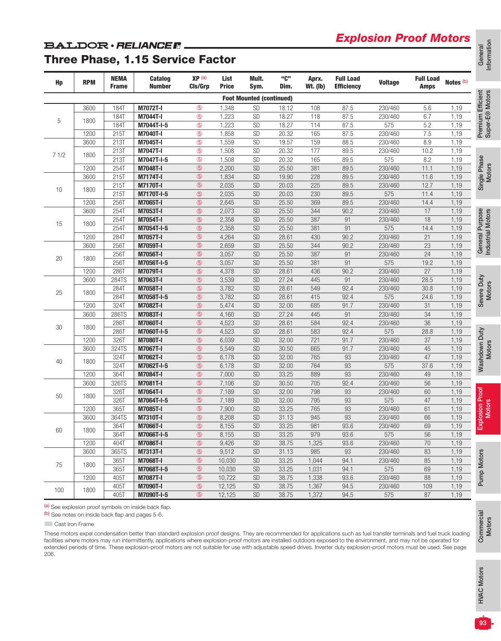# *Explosion Proof Motors*

### **BALDOR** · RELIANCE F

|  |  |  | <b>Three Phase, 1.15 Service Factor</b> |  |
|--|--|--|-----------------------------------------|--|
|--|--|--|-----------------------------------------|--|

| Hp   | <b>RPM</b>      | <b>NEMA</b><br><b>Frame</b> | <b>Catalog</b><br><b>Number</b>                                                                                                                                                                                                                                                                                                                                                                                                                                                                                                                                                                                                                               | XP <sub>(a)</sub><br>Cls/Grp | List<br><b>Price</b> | Mult.<br>Sym.                   | "C"<br>Dim.    | Aprx.<br><b>Wt. (Ib)</b> | <b>Full Load</b><br><b>Efficiency</b> | <b>Voltage</b>     | <b>Full Load</b><br><b>Amps</b> | Notes <sup>(b)</sup> |
|------|-----------------|-----------------------------|---------------------------------------------------------------------------------------------------------------------------------------------------------------------------------------------------------------------------------------------------------------------------------------------------------------------------------------------------------------------------------------------------------------------------------------------------------------------------------------------------------------------------------------------------------------------------------------------------------------------------------------------------------------|------------------------------|----------------------|---------------------------------|----------------|--------------------------|---------------------------------------|--------------------|---------------------------------|----------------------|
|      |                 |                             |                                                                                                                                                                                                                                                                                                                                                                                                                                                                                                                                                                                                                                                               |                              |                      | <b>Foot Mounted (continued)</b> |                |                          |                                       |                    |                                 |                      |
|      | 3600            | <b>184T</b>                 | M7072T-I                                                                                                                                                                                                                                                                                                                                                                                                                                                                                                                                                                                                                                                      | $\circledS$                  | 1,348                | <b>SD</b>                       | 18.12          | 108                      | 87.5                                  | 230/460            | 5.6                             | 1,19                 |
|      |                 | 184T                        | M7044T-I                                                                                                                                                                                                                                                                                                                                                                                                                                                                                                                                                                                                                                                      | $\circledS$                  | 1,223                | <b>SD</b>                       | 18.27          | 118                      | 87.5                                  | 230/460            | 6.7                             | 1,19                 |
| 5    | 1800            | 184T                        | M7044T-I-5                                                                                                                                                                                                                                                                                                                                                                                                                                                                                                                                                                                                                                                    | $\circledS$                  | 1,223                | SD                              | 18.27          | 114                      | 87.5                                  | 575                | 5.2                             | 1,19                 |
|      | 1200            | 215T                        | <b>M7040T-I</b>                                                                                                                                                                                                                                                                                                                                                                                                                                                                                                                                                                                                                                               | $\circledS$                  | 1,858                | SD                              | 20.32          | 165                      | 87.5                                  | 230/460            | 7.5                             | 1,19                 |
|      | 3600            | 213T                        | M7045T-I                                                                                                                                                                                                                                                                                                                                                                                                                                                                                                                                                                                                                                                      | $\circledS$                  | 1,559                | <b>SD</b>                       | 19.57          | 159                      | 88.5                                  | 230/460            | 8.9                             | 1,19                 |
| 71/2 | 1800            | 213T                        | <b>M7047T-I</b>                                                                                                                                                                                                                                                                                                                                                                                                                                                                                                                                                                                                                                               | $\circledS$                  | 1,508                | <b>SD</b>                       | 20.32          | 177                      | 89.5                                  | 230/460            | 10.2                            | 1,19                 |
|      |                 | 213T                        | M7047T-I-5                                                                                                                                                                                                                                                                                                                                                                                                                                                                                                                                                                                                                                                    | $\circledS$                  | 1,508                | <b>SD</b>                       | 20.32          | 165                      | 89.5                                  | 575                | 8.2                             | 1,19                 |
|      | 1200            | <b>254T</b>                 | M7048T-I                                                                                                                                                                                                                                                                                                                                                                                                                                                                                                                                                                                                                                                      | $\circledS$                  | 2,200                | <b>SD</b>                       | 25.50          | 381                      | 89.5                                  | 230/460            | 11.1                            | 1,19                 |
|      | 3600            | 215T                        | <b>M7174T-I</b>                                                                                                                                                                                                                                                                                                                                                                                                                                                                                                                                                                                                                                               | $\circledS$                  | 1,834                | <b>SD</b>                       | 19.90          | 228                      | 89.5                                  | 230/460            | 11.6                            | 1,19                 |
| 10   | 1800            | 215T                        | M7170T-I                                                                                                                                                                                                                                                                                                                                                                                                                                                                                                                                                                                                                                                      | $\circledS$                  | 2,035                | SD                              | 20.03          | 225                      | 89.5                                  | 230/460            | 12.7                            | 1,19                 |
|      |                 | 215T                        | M7170T-I-5                                                                                                                                                                                                                                                                                                                                                                                                                                                                                                                                                                                                                                                    | $\circledS$                  | 2,035                | <b>SD</b>                       | 20.03          | 230                      | 89.5                                  | 575                | 11.4                            | 1,19                 |
|      | 1200            | 256T                        | M7065T-I                                                                                                                                                                                                                                                                                                                                                                                                                                                                                                                                                                                                                                                      | $\circledS$                  | 2,645                | <b>SD</b>                       | 25.50          | 369                      | 89.5                                  | 230/460            | 14.4                            | 1,19                 |
|      | 3600            | 254T                        | M7053T-I                                                                                                                                                                                                                                                                                                                                                                                                                                                                                                                                                                                                                                                      | $\circledS$                  | 2,073                | <b>SD</b>                       | 25.50          | 344                      | 90.2                                  | 230/460            | 17                              | 1,19                 |
| 15   | 1800            | 254T                        | M7054T-I                                                                                                                                                                                                                                                                                                                                                                                                                                                                                                                                                                                                                                                      | $\circledS$                  | 2,358                | <b>SD</b>                       | 25.50          | 387                      | 91                                    | 230/460            | 18                              | 1,19                 |
|      |                 | 254T                        | M7054T-I-5                                                                                                                                                                                                                                                                                                                                                                                                                                                                                                                                                                                                                                                    | $\circledS$<br>$\circledS$   | 2,358                | <b>SD</b><br><b>SD</b>          | 25.50          | 381                      | 91<br>90.2                            | 575                | 14.4                            | 1,19                 |
|      | 1200<br>3600    | 284T<br>256T                | M7057T-I<br>M7059T-I                                                                                                                                                                                                                                                                                                                                                                                                                                                                                                                                                                                                                                          | $\circledS$                  | 4,264<br>2,659       | <b>SD</b>                       | 28.61<br>25.50 | 430<br>344               | 90.2                                  | 230/460<br>230/460 | 21<br>23                        | 1,19<br>1,19         |
|      |                 | 256T                        | M7056T-I                                                                                                                                                                                                                                                                                                                                                                                                                                                                                                                                                                                                                                                      | $\circledS$                  | 3,057                | SD                              | 25.50          | 387                      | 91                                    | 230/460            | 24                              | 1,19                 |
| 20   | 1800            | 256T                        | M7056T-I-5                                                                                                                                                                                                                                                                                                                                                                                                                                                                                                                                                                                                                                                    | $\circledS$                  | 3,057                | <b>SD</b>                       | 25.50          | 381                      | 91                                    | 575                | 19.2                            | 1,19                 |
|      | 1200            | <b>286T</b>                 | M7079T-I                                                                                                                                                                                                                                                                                                                                                                                                                                                                                                                                                                                                                                                      | $\circledS$                  | 4,378                | <b>SD</b>                       | 28.61          | 436                      | 90.2                                  | 230/460            | 27                              | 1,19                 |
|      | 3600            | 284TS                       | M7063T-I                                                                                                                                                                                                                                                                                                                                                                                                                                                                                                                                                                                                                                                      | $\circledS$                  | 3,539                | <b>SD</b>                       | 27.24          | 445                      | 91                                    | 230/460            | 28.5                            | 1,19                 |
|      |                 | 284T                        | M7058T-I                                                                                                                                                                                                                                                                                                                                                                                                                                                                                                                                                                                                                                                      | $\circledS$                  | 3,782                | <b>SD</b>                       | 28.61          | 549                      | 92.4                                  | 230/460            | 30.8                            | 1,19                 |
| 25   | 1800            | 284T                        | M7058T-I-5                                                                                                                                                                                                                                                                                                                                                                                                                                                                                                                                                                                                                                                    | $\circledS$                  | 3,782                | <b>SD</b>                       | 28.61          | 415                      | 92.4                                  | 575                | 24.6                            | 1,19                 |
|      | 1200            | <b>324T</b>                 | M7082T-I                                                                                                                                                                                                                                                                                                                                                                                                                                                                                                                                                                                                                                                      | $\circledS$                  | 5,474                | <b>SD</b>                       | 32.00          | 685                      | 91.7                                  | 230/460            | 31                              | 1,19                 |
|      | 3600            | 286TS                       | M7083T-I                                                                                                                                                                                                                                                                                                                                                                                                                                                                                                                                                                                                                                                      | $\circledS$                  | 4,160                | <b>SD</b>                       | 27.24          | 445                      | 91                                    | 230/460            | 34                              | 1,19                 |
|      |                 | 286T                        | M7060T-I                                                                                                                                                                                                                                                                                                                                                                                                                                                                                                                                                                                                                                                      | $\circledS$                  | 4,523                | <b>SD</b>                       | 28.61          | 584                      | 92.4                                  | 230/460            | 36                              | 1,19                 |
| 30   | 1800            | 286T                        | M7060T-I-5                                                                                                                                                                                                                                                                                                                                                                                                                                                                                                                                                                                                                                                    | $\circledS$                  | 4,523                | SD                              | 28.61          | 583                      | 92.4                                  | 575                | 28.8                            | 1,19                 |
|      | 1200            | 326T                        | <b>M7080T-I</b>                                                                                                                                                                                                                                                                                                                                                                                                                                                                                                                                                                                                                                               | $\circledS$                  | 6,039                | SD                              | 32.00          | 721                      | 91.7                                  | 230/460            | 37                              | 1,19                 |
|      | 3600            | 324TS                       | M7067T-I                                                                                                                                                                                                                                                                                                                                                                                                                                                                                                                                                                                                                                                      | $\circledS$                  | 5,549                | <b>SD</b>                       | 30.50          | 665                      | 91.7                                  | 230/460            | 45                              | 1,19                 |
|      |                 | 324T                        | M7062T-I                                                                                                                                                                                                                                                                                                                                                                                                                                                                                                                                                                                                                                                      | $\circledS$                  | 6,178                | <b>SD</b>                       | 32.00          | 765                      | 93                                    | 230/460            | 47                              | 1,19                 |
| 40   | 1800            | 324T                        | M7062T-I-5                                                                                                                                                                                                                                                                                                                                                                                                                                                                                                                                                                                                                                                    | $\circledS$                  | 6,178                | <b>SD</b>                       | 32.00          | 764                      | 93                                    | 575                | 37.6                            | 1,19                 |
|      | 1200            | 364T                        | M7084T-I                                                                                                                                                                                                                                                                                                                                                                                                                                                                                                                                                                                                                                                      | $\circledS$                  | 7,000                | <b>SD</b>                       | 33.25          | 889                      | 93                                    | 230/460            | 49                              | 1,19                 |
|      | 3600            | 326TS                       | M7081T-I                                                                                                                                                                                                                                                                                                                                                                                                                                                                                                                                                                                                                                                      | $\circledS$                  | 7,106                | <b>SD</b>                       | 30.50          | 705                      | 92.4                                  | 230/460            | 56                              | 1,19                 |
| 50   | 1800            | 326T                        | M7064T-I                                                                                                                                                                                                                                                                                                                                                                                                                                                                                                                                                                                                                                                      | $\circledS$                  | 7,189                | <b>SD</b>                       | 32.00          | 798                      | 93                                    | 230/460            | 60                              | 1,19                 |
|      |                 | 326T                        | M7064T-I-5                                                                                                                                                                                                                                                                                                                                                                                                                                                                                                                                                                                                                                                    | $\circledS$                  | 7,189                | SD                              | 32.00          | 795                      | $93\,$                                | 575                | 47                              | 1,19                 |
|      | 1200            | 365T                        | M7085T-I                                                                                                                                                                                                                                                                                                                                                                                                                                                                                                                                                                                                                                                      | $\circledS$                  | 7,900                | <b>SD</b>                       | 33.25          | 765                      | 93                                    | 230/460            | 61                              | 1,19                 |
|      | 3600            | 364TS                       | M7310T-I                                                                                                                                                                                                                                                                                                                                                                                                                                                                                                                                                                                                                                                      | $\circledS$                  | 8,208                | <b>SD</b>                       | 31.13          | 945                      | 93                                    | 230/460            | 66                              | 1,19                 |
| 60   | 1800            | 364T                        | M7066T-I                                                                                                                                                                                                                                                                                                                                                                                                                                                                                                                                                                                                                                                      | $\circledS$                  | 8,155                | <b>SD</b>                       | 33.25          | 981                      | 93.6                                  | 230/460            | 69                              | 1,19                 |
|      |                 | 364T                        | M7066T-I-5                                                                                                                                                                                                                                                                                                                                                                                                                                                                                                                                                                                                                                                    | $\circledS$                  | 8,155                | <b>SD</b>                       | 33.25          | 979                      | 93.6                                  | 575                | 56                              | 1,19                 |
|      | 1200            | 404T                        | M7086T-I                                                                                                                                                                                                                                                                                                                                                                                                                                                                                                                                                                                                                                                      | $\circledS$                  | 9,426                | SD                              | 38.75          | 1,325                    | 93.6                                  | 230/460            | 70                              | 1,19                 |
|      | 3600            | 365TS                       | M7313T-I                                                                                                                                                                                                                                                                                                                                                                                                                                                                                                                                                                                                                                                      | $\circledS$                  | 9,512                | <b>SD</b>                       | 31.13          | 985                      | 93                                    | 230/460            | 83                              | 1,19                 |
| 75   | 1800            | 365T                        | M7068T-I                                                                                                                                                                                                                                                                                                                                                                                                                                                                                                                                                                                                                                                      | $\circledS$                  | 10,030               | <b>SD</b>                       | 33.25          | 1,044                    | 94.1                                  | 230/460            | 85                              | 1,19                 |
|      |                 | 365T                        | M7068T-I-5                                                                                                                                                                                                                                                                                                                                                                                                                                                                                                                                                                                                                                                    | $\circledS$<br>$\circledS$   | 10,030               | <b>SD</b>                       | 33.25          | 1,031                    | 94.1                                  | 575<br>230/460     | 69                              | 1,19                 |
|      | 1200            | 405T<br>405T                | M7087T-I<br>M7090T-I                                                                                                                                                                                                                                                                                                                                                                                                                                                                                                                                                                                                                                          | $\circledS$                  | 10,722<br>12,125     | <b>SD</b><br><b>SD</b>          | 38.75<br>38.75 | 1,338<br>1,367           | 93.6<br>94.5                          | 230/460            | 88<br>109                       | 1,19<br>1,19         |
| 100  | 1800            |                             |                                                                                                                                                                                                                                                                                                                                                                                                                                                                                                                                                                                                                                                               |                              |                      |                                 |                |                          |                                       |                    |                                 |                      |
| 206. | Cast Iron Frame | 405T                        | M7090T-I-5<br>(a) See explosion proof symbols on inside back flap.<br>(b) See notes on inside back flap and pages 5-6.<br>These motors expel condensation better than standard explosion proof designs. They are recommended for applications such as fuel transfer terminals and fuel truck loading<br>facilities where motors may run intermittently, applications where explosion-proof motors are installed outdoors exposed to the environment, and may not be operated for<br>extended periods of time. These explosion-proof motors are not suitable for use with adjustable speed drives. Inverter duty explosion-proof motors must be used. See page | $\circledS$                  | 12,125               | <b>SD</b>                       | 38.75          | 1,372                    | 94.5                                  | 575                | 87                              | 1,19                 |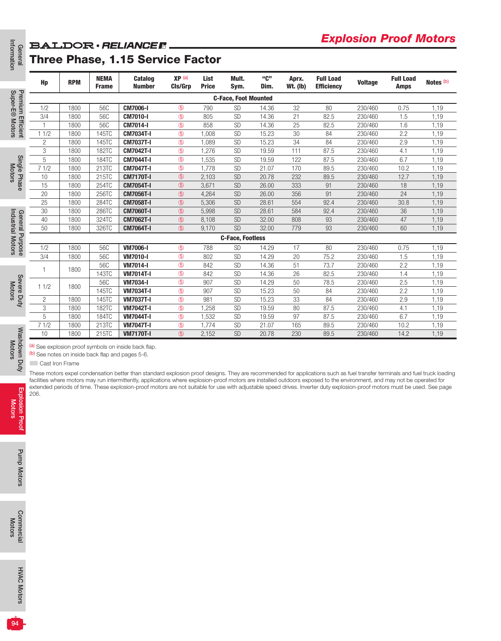### **BALDOR** · RELIANCE R. Three Phase, 1.15 Service Factor

Catalog Number

XP (a) Cls/Grp

List Price Mult. Sym.

"C" Dim.

Aprx. Wt. (lb) Full Load

Frame

 $Hp$  RPM  $R^{NEMA}$ 

Super-E® Motors Premium Efficient

Premium Efficient<br>Super-E® Motors

|                |      |              |                  |               |       | <b>C-Face, Foot Mounted</b> |       |     |      |         |      |      |
|----------------|------|--------------|------------------|---------------|-------|-----------------------------|-------|-----|------|---------|------|------|
| 1/2            | 1800 | 56C          | <b>CM7006-I</b>  | $\circled{5}$ | 790   | <b>SD</b>                   | 14.36 | 32  | 80   | 230/460 | 0.75 | 1,19 |
| 3/4            | 1800 | 56C          | <b>CM7010-I</b>  | $6$           | 805   | <b>SD</b>                   | 14.36 | 21  | 82.5 | 230/460 | 1.5  | 1,19 |
| 1              | 1800 | 56C          | <b>CM7014-I</b>  | $6$           | 858   | <b>SD</b>                   | 14.36 | 25  | 82.5 | 230/460 | 1.6  | 1,19 |
| 11/2           | 1800 | 145TC        | <b>CM7034T-I</b> | $\circledS$   | 1.008 | <b>SD</b>                   | 15.23 | 30  | 84   | 230/460 | 2.2  | 1,19 |
| $\overline{c}$ | 1800 | 145TC        | <b>CM7037T-I</b> | $6$           | 1,089 | SD                          | 15.23 | 34  | 84   | 230/460 | 2.9  | 1,19 |
| 3              | 1800 | <b>182TC</b> | <b>CM7042T-I</b> | $6$           | 1.276 | <b>SD</b>                   | 19.59 | 111 | 87.5 | 230/460 | 4.1  | 1,19 |
| 5              | 1800 | <b>184TC</b> | <b>CM7044T-I</b> | $6$           | 1,535 | <b>SD</b>                   | 19.59 | 122 | 87.5 | 230/460 | 6.7  | 1,19 |
| 71/2           | 1800 | 213TC        | <b>CM7047T-I</b> | $\circledS$   | 1.778 | <b>SD</b>                   | 21.07 | 170 | 89.5 | 230/460 | 10.2 | 1,19 |
| 10             | 1800 | 215TC        | <b>CM7170T-I</b> | (5)           | 2,103 | <b>SD</b>                   | 20.78 | 232 | 89.5 | 230/460 | 12.7 | 1,19 |
| 15             | 1800 | 254TC        | <b>CM7054T-I</b> | $\circledS$   | 3,671 | <b>SD</b>                   | 26.00 | 333 | 91   | 230/460 | 18   | 1,19 |
| 20             | 1800 | 256TC        | <b>CM7056T-I</b> | $\circledS$   | 4,264 | SD                          | 26.00 | 356 | 91   | 230/460 | 24   | 1,19 |
| 25             | 1800 | 284TC        | <b>CM7058T-I</b> | $\circledS$   | 5.306 | <b>SD</b>                   | 28.61 | 554 | 92.4 | 230/460 | 30.8 | 1,19 |
| 30             | 1800 | 286TC        | <b>CM7060T-I</b> | $\circledS$   | 5,998 | SD                          | 28.61 | 584 | 92.4 | 230/460 | 36   | 1,19 |
| 40             | 1800 | 324TC        | <b>CM7062T-I</b> | $\circledS$   | 8,108 | <b>SD</b>                   | 32.00 | 808 | 93   | 230/460 | 47   | 1,19 |
| 50             | 1800 | 326TC        | <b>CM7064T-I</b> | $\circledS$   | 9,170 | <b>SD</b>                   | 32.00 | 779 | 93   | 230/460 | 60   | 1,19 |
|                |      |              |                  |               |       | <b>C-Face, Footless</b>     |       |     |      |         |      |      |
| 1/2            | 1800 | 56C          | <b>VM7006-I</b>  | $6$           | 788   | <b>SD</b>                   | 14.29 | 17  | 80   | 230/460 | 0.75 | 1,19 |
| 3/4            | 1800 | 56C          | <b>VM7010-I</b>  | $\circled{5}$ | 802   | <b>SD</b>                   | 14.29 | 20  | 75.2 | 230/460 | 1.5  | 1,19 |
|                | 1800 | 56C          | <b>VM7014-I</b>  | $\circledS$   | 842   | <b>SD</b>                   | 14.36 | 51  | 73.7 | 230/460 | 2.2  | 1,19 |
|                |      | 143TC        | <b>VM7014T-I</b> | $6$           | 842   | <b>SD</b>                   | 14.36 | 26  | 82.5 | 230/460 | 1.4  | 1,19 |
| 11/2           | 1800 | 56C          | <b>VM7034-I</b>  | $\circledS$   | 907   | <b>SD</b>                   | 14.29 | 50  | 78.5 | 230/460 | 2.5  | 1,19 |
|                |      | 145TC        | <b>VM7034T-I</b> | $\circledS$   | 907   | SD                          | 15.23 | 50  | 84   | 230/460 | 2.2  | 1,19 |
| $\overline{2}$ | 1800 | 145TC        | <b>VM7037T-I</b> | $6$           | 981   | <b>SD</b>                   | 15.23 | 33  | 84   | 230/460 | 2.9  | 1,19 |
| 3              | 1800 | <b>182TC</b> | <b>VM7042T-I</b> | $\circledS$   | 1,258 | SD                          | 19.59 | 80  | 87.5 | 230/460 | 4.1  | 1,19 |
| 5              | 1800 | <b>184TC</b> | <b>VM7044T-I</b> | $\circledS$   | 1,532 | <b>SD</b>                   | 19.59 | 97  | 87.5 | 230/460 | 6.7  | 1,19 |
| 71/2           | 1800 | 213TC        | <b>VM7047T-I</b> | (5)           | 1.774 | <b>SD</b>                   | 21.07 | 165 | 89.5 | 230/460 | 10.2 | 1,19 |
| 10             | 1800 | 215TC        | <b>VM7170T-I</b> | (5)           | 2.152 | <b>SD</b>                   | 20.78 | 230 | 89.5 | 230/460 | 14.2 | 1.19 |

*Explosion Proof Motors*

Notes (b)

Efficiency Voltage Full Load

# Washdown Duty Washdown Duty<br>Motors

(a) See explosion proof symbols on inside back flap.

(b) See notes on inside back flap and pages 5-6.

**Cast Iron Frame** 

These motors expel condensation better than standard explosion proof designs. They are recommended for applications such as fuel transfer terminals and fuel truck loading facilities where motors may run intermittently, applications where explosion-proof motors are installed outdoors exposed to the environment, and may not be operated for extended periods of time. These explosion-proof motors are not suitable for use with adjustable speed drives. Inverter duty explosion-proof motors must be used. See page 206.

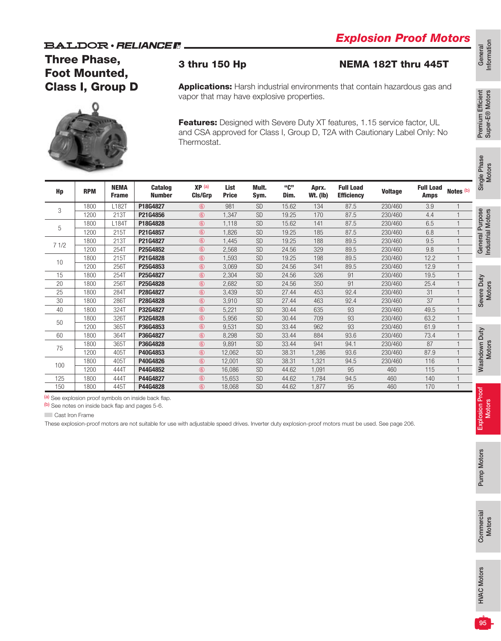### **BALDOR** · RELIANCE F

# Three Phase, Foot Mounted, Class I, Group D



### 3 thru 150 Hp NEMA 182T thru 445T

|                 | <b>Three Phase,</b><br><b>Foot Mounted,</b> |                             |                                                                                                                                                                                                          | 3 thru 150 Hp                             |                      |                 |                |                          |                                                                                                                                                       | NEMA 182T thru 445T |                          |                              |
|-----------------|---------------------------------------------|-----------------------------|----------------------------------------------------------------------------------------------------------------------------------------------------------------------------------------------------------|-------------------------------------------|----------------------|-----------------|----------------|--------------------------|-------------------------------------------------------------------------------------------------------------------------------------------------------|---------------------|--------------------------|------------------------------|
|                 | <b>Class I, Group D</b>                     |                             |                                                                                                                                                                                                          | vapor that may have explosive properties. |                      |                 |                |                          | <b>Applications:</b> Harsh industrial environments that contain hazardous gas and                                                                     |                     |                          |                              |
|                 |                                             |                             |                                                                                                                                                                                                          | Thermostat.                               |                      |                 |                |                          | Features: Designed with Severe Duty XT features, 1.15 service factor, UL<br>and CSA approved for Class I, Group D, T2A with Cautionary Label Only: No |                     |                          |                              |
| Hp              | <b>RPM</b>                                  | <b>NEMA</b><br><b>Frame</b> | <b>Catalog</b><br><b>Number</b>                                                                                                                                                                          | XP <sub>(a)</sub><br>CIs/Grp              | List<br><b>Price</b> | Mult.<br>Sym.   | "C"<br>Dim.    | Aprx.<br><b>Wt. (Ib)</b> | <b>Full Load</b><br><b>Efficiency</b>                                                                                                                 | <b>Voltage</b>      | <b>Full Load</b><br>Amps | Notes <sup>(b)</sup>         |
| 3               | 1800                                        | L182T                       | P18G4827                                                                                                                                                                                                 | $\circledast$                             | 981                  | <b>SD</b>       | 15.62          | 134                      | 87.5                                                                                                                                                  | 230/460             | $3.9\,$                  |                              |
|                 | 1200                                        | 213T                        | P21G4856                                                                                                                                                                                                 | $^{\circ}$                                | 1,347                | SD              | 19.25          | 170                      | 87.5                                                                                                                                                  | 230/460             | 4.4                      | $\mathbf{1}$                 |
| 5               | 1800                                        | L184T                       | P18G4828                                                                                                                                                                                                 | $\circledast$                             | 1,118                | <b>SD</b>       | 15.62          | 141                      | 87.5                                                                                                                                                  | 230/460             | 6.5                      | $\mathbf{1}$                 |
|                 | 1200<br>1800                                | 215T                        | P21G4857<br>P21G4827                                                                                                                                                                                     | $^{\circ}$                                | 1,826                | SD<br><b>SD</b> | 19.25          | 185                      | 87.5                                                                                                                                                  | 230/460             | 6.8                      | $\mathbf{1}$<br>$\mathbf{1}$ |
| 71/2            | 1200                                        | 213T<br>254T                | P25G4852                                                                                                                                                                                                 | $^{\circ}$<br>$\circledast$               | 1,445<br>2,568       | SD              | 19.25<br>24.56 | 188<br>329               | 89.5<br>89.5                                                                                                                                          | 230/460<br>230/460  | 9.5<br>9.8               | $\mathbf{1}$                 |
|                 | 1800                                        | 215T                        | P21G4828                                                                                                                                                                                                 | $\circledast$                             | 1,593                | <b>SD</b>       | 19.25          | 198                      | 89.5                                                                                                                                                  | 230/460             | 12.2                     | $\mathbf{1}$                 |
| 10              | 1200                                        | 256T                        | P25G4853                                                                                                                                                                                                 | $^{\circ}$                                | 3,069                | SD              | 24.56          | 341                      | 89.5                                                                                                                                                  | 230/460             | 12.9                     | $\mathbf{1}$                 |
| 15              | 1800                                        | 254T                        | P25G4827                                                                                                                                                                                                 | $^{\circ}$                                | 2,304                | <b>SD</b>       | 24.56          | 326                      | 91                                                                                                                                                    | 230/460             | 19.5                     | $\mathbf{1}$                 |
| 20              | 1800                                        | 256T                        | P25G4828                                                                                                                                                                                                 | $\circledast$                             | 2,682                | SD              | 24.56          | 350                      | 91                                                                                                                                                    | 230/460             | 25.4                     | $\mathbf{1}$                 |
| 25              | 1800                                        | 284T                        | P28G4827                                                                                                                                                                                                 | $\circledast$                             | 3,439                | <b>SD</b>       | 27.44          | 453                      | 92.4                                                                                                                                                  | 230/460             | 31                       | $\mathbf{1}$                 |
| 30              | 1800                                        | 286T                        | P28G4828                                                                                                                                                                                                 | $^{\circ}$                                | 3,910                | SD              | 27.44          | 463                      | 92.4                                                                                                                                                  | 230/460             | 37                       | $\mathbf{1}$                 |
| 40              | 1800                                        | <b>324T</b>                 | P32G4827                                                                                                                                                                                                 | $^{\circ}$                                | 5,221                | <b>SD</b>       | 30.44          | 635                      | 93                                                                                                                                                    | 230/460             | 49.5                     | $\mathbf{1}$                 |
|                 | 1800                                        | 326T                        | P32G4828                                                                                                                                                                                                 | $\circledast$                             | 5,956                | SD              | 30.44          | 709                      | 93                                                                                                                                                    | 230/460             | 63.2                     | $\mathbf{1}$                 |
| 50              | 1200                                        | 365T                        | P36G4853                                                                                                                                                                                                 | $\circledast$                             | 9,531                | <b>SD</b>       | 33.44          | 962                      | 93                                                                                                                                                    | 230/460             | 61.9                     | $\mathbf{1}$                 |
| 60              | 1800                                        | 364T                        | P36G4827                                                                                                                                                                                                 | $^{\circ}$                                | 8,298                | SD              | 33.44          | 884                      | 93.6                                                                                                                                                  | 230/460             | 73.4                     | $\mathbf{1}$                 |
| 75              | 1800                                        | 365T                        | P36G4828                                                                                                                                                                                                 | $\circledast$                             | 9,891                | SD              | 33.44          | 941                      | 94.1                                                                                                                                                  | 230/460             | 87                       | $\mathbf{1}$                 |
|                 | 1200                                        | 405T                        | P40G4853                                                                                                                                                                                                 | $\circledast$                             | 12,062               | SD              | 38.31          | 1,286                    | 93.6                                                                                                                                                  | 230/460             | 87.9                     | $\mathbf{1}$                 |
| 100             | 1800                                        | 405T                        | P40G4826                                                                                                                                                                                                 | $\circledast$                             | 12,001               | SD              | 38.31          | 1,321                    | 94.5                                                                                                                                                  | 230/460             | 116                      | $\mathbf{1}$                 |
|                 | 1200                                        | 444T                        | P44G4852                                                                                                                                                                                                 | $^{\circ}$                                | 16,086               | <b>SD</b>       | 44.62          | 1,091                    | 95                                                                                                                                                    | 460                 | 115                      | $\mathbf{1}$                 |
| 125             | 1800                                        | 444T                        | P44G4827                                                                                                                                                                                                 | $\circledast$                             | 15,653               | SD              | 44.62          | 1,784                    | 94.5                                                                                                                                                  | 460                 | 140                      | $\mathbf{1}$                 |
| 150             | 1800                                        | 445T                        | P44G4828<br>(a) See explosion proof symbols on inside back flap.                                                                                                                                         | $\circledast$                             | 18,068               | SD              | 44.62          | 1,877                    | 95                                                                                                                                                    | 460                 | 170                      | $\mathbf{1}$                 |
| Cast Iron Frame |                                             |                             | (b) See notes on inside back flap and pages 5-6.<br>These explosion-proof motors are not suitable for use with adjustable speed drives. Inverter duty explosion-proof motors must be used. See page 206. |                                           |                      |                 |                |                          |                                                                                                                                                       |                     |                          |                              |
|                 |                                             |                             |                                                                                                                                                                                                          |                                           |                      |                 |                |                          |                                                                                                                                                       |                     |                          |                              |
|                 |                                             |                             |                                                                                                                                                                                                          |                                           |                      |                 |                |                          |                                                                                                                                                       |                     |                          |                              |